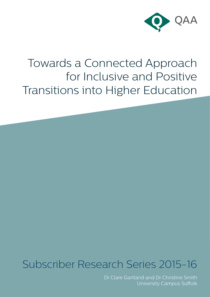

# Towards a Connected Approach for Inclusive and Positive Transitions into Higher Education

# Subscriber Research Series 2015-16

Dr Clare Gartland and Dr Christine Smith University Campus Suffolk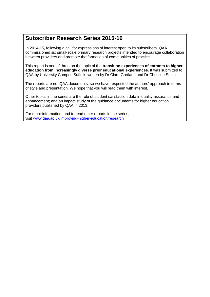## **Subscriber Research Series 2015-16**

In 2014-15, following a call for expressions of interest open to its subscribers, QAA commissioned six small-scale primary research projects intended to encourage collaboration between providers and promote the formation of communities of practice.

This report is one of three on the topic of the **transition experiences of entrants to higher education from increasingly diverse prior educational experiences**. It was submitted to QAA by University Campus Suffolk, written by Dr Clare Gartland and Dr Christine Smith.

The reports are not QAA documents, so we have respected the authors' approach in terms of style and presentation. We hope that you will read them with interest.

Other topics in the series are the role of student satisfaction data in quality assurance and enhancement; and an impact study of the guidance documents for higher education providers published by QAA in 2013.

For more information, and to read other reports in the series, visit [www.qaa.ac.uk/improving-higher-education/research](http://www.qaa.ac.uk/improving-higher-education/research)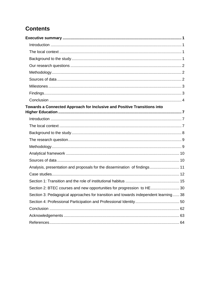# <span id="page-2-0"></span>**Contents**

| Towards a Connected Approach for Inclusive and Positive Transitions into             |  |
|--------------------------------------------------------------------------------------|--|
|                                                                                      |  |
|                                                                                      |  |
|                                                                                      |  |
|                                                                                      |  |
|                                                                                      |  |
|                                                                                      |  |
|                                                                                      |  |
|                                                                                      |  |
| Analysis, presentation and proposals for the dissemination of findings 11            |  |
|                                                                                      |  |
|                                                                                      |  |
| Section 2: BTEC courses and new opportunities for progression to HE30                |  |
| Section 3: Pedagogical approaches for transition and towards independent learning 38 |  |
|                                                                                      |  |
|                                                                                      |  |
|                                                                                      |  |
|                                                                                      |  |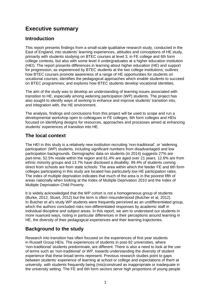# **Executive summary**

## <span id="page-3-0"></span>**Introduction**

This report presents findings from a small-scale qualitative research study, conducted in the East of England, into students' learning experiences, attitudes and conceptions of HE study, primarily with students studying on BTEC courses at level 3, in FE college and 6th form college contexts, but also with some level 4 undergraduates at a higher education institution (HEI). The report presents differences in learning about higher education (HE) and support for progression, as experienced by BTEC students at the two college institutions; outlines how BTEC courses promote awareness of a range of HE opportunities for students on vocational courses; identifies the pedagogical approaches which enable students to succeed on BTEC programmes; and explores how BTEC students develop vocational identities.

The aim of the study was to develop an understanding of learning issues associated with transition to HE, especially among widening participation (WP) students. The project has also sought to identify ways of working to enhance and improve students' transition into, and integration with, the HE environment.

The analysis, findings and conclusions from this project will be used to scope and run a developmental workshop open to colleagues in FE colleges, 6th form colleges and HEIs focused on identifying designs for resources, approaches and processes aimed at enhancing students' experiences of transition into HE.

## <span id="page-3-1"></span>**The local context**

The HEI in this study is a relatively new institution recruiting 'non-traditional', or 'widening participation' (WP) students, including significant numbers from disadvantaged and low participation backgrounds. Demographic data on students (in 2014) suggests 27% are part-time, 52.5% reside within the region and 61.4% are aged over 21 years. 12.6% are from ethnic minority groups and 13.7% have disclosed a disability. 99.4% of students coming direct from schools are from state schools. The area within which the feeder FE and 6th form colleges participating in this study are located has particularly low HE participation rates. The index of multiple deprivation indicates that much of the area is in the poorest fifth of areas nationally when looking at the Index of Multiple Deprivation 2010 and the Index of Multiple Deprivation Child Poverty.

It is widely acknowledged that the WP cohort is not a homogeneous group of students (Burke, 2012; Stuart, 2012) but the term is often misunderstood (Butcher et al, 2012). In Butcher et al's study WP students were frequently perceived as an undifferentiated group, which the authors concluded risks non-differentiated responses by academic staff in individual discipline and subject areas. In this report, we aim to understand our students in more nuanced ways, noting in particular differences in their perceptions around learning in HE, the diversity of their pedagogical experiences and their learning trajectories.

## <span id="page-3-2"></span>**Background to the study**

Research into transition has often focused on the experiences of first year students in Russell Group HEIs. The experiences of students in post-92 universities, where 'non-traditional' students predominate, are different. There is also a need to look at the use of terms such as 'non-traditional' or WP, towards understanding the diversity of student experience that these broad terms represent. Previous research studies point to gaps between students' experience of learning at school or college and expectations of them at university, with students frequently being (mis)construed as inappropriate or inadequate in the university setting. The FE and 6th form sectors serve high proportions of young people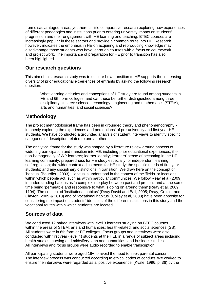from disadvantaged areas, yet there is little comparative research exploring how experiences of different pedagogies and institutions prior to entering university impact on students' progression and their engagement with HE learning and teaching. BTEC courses are increasingly popular in these sectors and provide a common route into HE. Research, however, indicates the emphasis in HE on acquiring and reproducing knowledge may disadvantage those students who have learnt on courses with a focus on coursework and project work. The importance of preparation for HE prior to transition has also been highlighted.

## <span id="page-4-0"></span>**Our research questions**

This aim of this research study was to explore how transition to HE supports the increasing diversity of prior educational experiences of entrants by asking the following research question:

What learning attitudes and conceptions of HE study are found among students in FE and 6th form colleges, and can these be further distinguished among three disciplinary clusters: science, technology, engineering and mathematics (STEM), arts and humanities, and social sciences?

## <span id="page-4-1"></span>**Methodology**

The project methodological frame has been in grounded theory and phenomenography in openly exploring the experiences and perceptions' of pre-university and first year HE students. We have conducted a grounded analysis of student interviews to identify specific categories of description related to one another.

The analytical frame for the study was shaped by a literature review around aspects of widening participation and transition into HE: including prior educational experiences; the non-homogeneity of WP learners; learner identity; learners' sense of becoming in the HE learning community; preparedness for HE study especially for independent learning; self-regulation; the wider context adjustments for HE study; the specific needs of first year students; and any disciplinary distinctions in transition. We draw here on the concept of 'habitus' (Bourdieu, 2003). Habitus is understood in the context of the 'fields' or locations within which people act, such as within particular communities. We follow Reay et al (2009) in understanding habitus as 'a complex interplay between past and present' and at the same time being 'permeable and responsive to what is going on around them' (Reay et al, 2009: 1104). The concept of 'institutional habitus' (Reay David and Ball, 2005; Reay, Crozier and Clayton, 2009 & 2010) and of 'vocational habitus' (Colley et al, 2003) have been apposite for considering the impact on students' identities of the different institutions in this study and the vocational routes within which students are located.

## <span id="page-4-2"></span>**Sources of data**

We conducted 12 paired interviews with level 3 learners studying on BTEC courses within the areas of STEM; arts and humanities; health-related; and social sciences (SS). All students were in 6th form or FE colleges. Focus groups and interviews were also conducted with first year (level 4) students at the HEI, in a range of subject areas including health studies, nursing and midwifery, arts and humanities, and business studies. All interviews and focus groups were audio recorded to enable transcription.

All participating students were aged 18+ to avoid the need to seek parental consent. The interview process was conducted according to ethical codes of conduct. We worked to ensure the interviews were regarded as a 'positive experience' (Kvale, 1996: p. 36) by the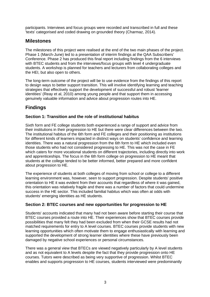participants. Interviews and focus groups were recorded and transcribed in full and these 'texts' categorised and coded drawing on grounded theory (Charmaz, 2014).

## <span id="page-5-0"></span>**Milestones**

The milestones of this project were realised at the end of the two main phases of the project. Phase 1 (March-June) led to a presentation of interim findings at the QAA Subscribers' Conference. Phase 2 has produced this final report including findings from the 6 interviews with BTEC students and from the interviews/focus groups with level 4 undergraduate students. A workshop is planned for teachers and lecturers from collaborating colleges and the HEI, but also open to others.

The long-term outcome of the project will be to use evidence from the findings of this report to design ways to better support transition. This will involve identifying learning and teaching strategies that effectively support the development of successful and robust 'learner identities' (Reay et al, 2010) among young people and that support them in accessing genuinely valuable information and advice about progression routes into HE.

## <span id="page-5-1"></span>**Findings**

## **Section 1: Transition and the role of institutional habitus**

Sixth form and FE college students both experienced a range of support and advice from their institutions in their progression to HE but there were clear differences between the two. The institutional habitus of the 6th form and FE colleges and their positioning as institutions for different kinds of learners impacted in distinct ways on students' confidence and learning identities. There was a natural progression from the 6th form to HE which included even those students who had not considered progressing to HE. This was not the case in FE which caters for more vocational students on different trajectories, including directly into work and apprenticeships. The focus in the 6th form college on progression to HE meant that students at the college tended to be better informed, better prepared and more confident about progression to HE.

The experience of students at both colleges of moving from school or college to a different learning environment was, however, seen to support progression. Despite students' positive orientation to HE it was evident from their accounts that regardless of where it was gained, this orientation was relatively fragile and there was a number of factors that could undermine success in the HE sector. This included familial habitus which was often at odds with students' emerging identities as HE students.

## **Section 2: BTEC courses and new opportunities for progression to HE**

Students' accounts indicated that many had not been aware before starting their course that BTEC courses provided a route into HE. Their experiences show that BTEC courses provide possibilities that many felt they had been excluded from when their GCSE results had not matched requirements for entry to A level courses. BTEC courses provide students with new learning opportunities which often motivate them to engage enthusiastically with learning and supported the development of strong learner identities where these have previously been damaged by negative school experiences or personal circumstances.

There was a general view that BTECs are viewed negatively particularly by A level students and as not equivalent to A levels despite the fact that they provide progression onto HE courses. Tutors were described as being very supportive of progression. Whilst BTEC enables and supports progression to HE courses, students interviewed were predominantly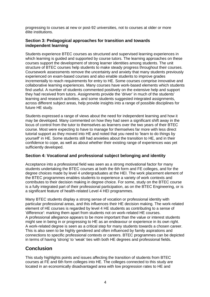progressing to courses at new or post-92 universities, not to courses at older or more élite institutions.

### **Section 3: Pedagogical approaches for transition and towards independent learning**

Students experience BTEC courses as structured and supervised learning experiences in which learning is guided and supported by course tutors. The learning approaches on these courses support the development of strong learner identities among students. The unit structure of BTEC courses help students to make steady progress throughout their courses. Coursework assessments remove the uncertainty and anxiety that many students previously experienced on exam-based courses and also enable students to improve grades incrementally to reach requirements for entry to HE. Some courses comprise innovative and collaborative learning experiences. Many courses have work-based elements which students find useful. A number of students commented positively on the extensive help and support they had received from tutors. Assignments provide the 'driver' in much of the students' learning and research activities, and some students suggested integrated assignments, across different subject areas, help provide insights into a range of possible disciplines for future HE study.

Students expressed a range of views about the need for independent learning and how it may be developed. Many commented on how they had seen a significant shift away in the locus of control from the tutor to themselves as learners over the two years of their BTEC course. Most were expecting to have to manage for themselves far more with less direct tutorial support as they moved into HE and noted that you need to 'learn to do things by yourself' in HE. Some students still had anxieties about the transition to HE, and in their confidence to cope, as well as about whether their existing range of experiences was yet sufficiently developed.

### **Section 4: Vocational and professional subject belonging and identity**

Acceptance into a professional field was seen as a strong motivational factor for many students undertaking the BTEC courses at both the 6th form and FE colleges, and for the degree choices made by level 4 undergraduates at the HEI. The work placement element of the BTEC programmes enables students to experience a variety of work contexts and contributes to their decision making in degree choice. For some, study on the BTEC course is a fully integrated part of their professional participation, as on the BTEC Engineering, or is a significant feature of health-related Level 4 HEI programmes.

Many BTEC students display a strong sense of vocation or professional identity with particular professional areas, and this influences their HE decision making. The work-related element of HE courses is regarded by level 4 HE students as contributing to a sense of 'difference': marking them apart from students not on work-related HE courses. A professional allegiance appears to be more important than the value or interest students might see in being in or progressing to HE as an endeavour or experience in its own right. A work-related degree is seen as a critical step for many students towards a chosen career. This is also seen to be highly gendered and often influenced by family aspirations and connections to specific professional contexts or careers. BTEC programmes can be depicted in terms of having 'strong' to 'weak' ties with both HE degrees and professional fields.

## <span id="page-6-0"></span>**Conclusion**

This study highlights points and issues affecting the transition of students from BTEC courses at FE and 6th form colleges into HE. The colleges connected to this study are located in an economically disadvantaged area with low progression rates to HE and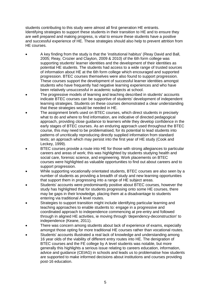students contributing to this study were almost all first generation HE entrants. Identifying strategies to support these students in their transition to HE and to ensure they are well prepared and making progress, is vital to ensure these students have a positive and successful experience of HE. These strategies should also help to prevent attrition from HE courses.

- A key finding from the study is that the 'institutional habitus' (Reay David and Ball, 2005; Reay, Crozier and Clayton, 2009 & 2010) of the 6th form college was supporting students' learner identities and the development of their identities as potential HE students. The students had access to a wide range of trusted sources of information about HE at the 6th form college which encouraged and supported progression. BTEC courses themselves were also found to support progression. These courses support the development of successful learner identities amongst students who have frequently had negative learning experiences and who have been relatively unsuccessful in academic subjects at school.
- The progressive models of learning and teaching described in students' accounts indicate BTEC courses can be supportive of students' development of independent learning strategies. Students on these courses demonstrated a clear understanding that these strategies would be needed in HE.
- The assignment briefs used on BTEC courses, which direct students in precisely what to do and where to find information, are indicative of directed pedagogical approach, providing close guidance to learners while they develop confidence in the early stages of BTEC courses. As an enduring approach used throughout the BTEC course, this may need to be problematised, for its potential to lead students into patterns of uncritically reproducing directly supplied information from standard texts; an approach which may persist into the first year of HE study (Cook and Leckey, 1999).
- BTEC courses provide a route into HE for those with strong allegiances to particular careers and areas of work; this was highlighted by students studying health and social care, forensic science, and engineering. Work placements on BTEC courses were highlighted as valuable opportunities to find out about careers and to support progression.
- While supporting vocationally orientated students, BTEC courses are also seen by a number of students as providing a breadth of study and new learning opportunities that support them in progressing into a range of HE subject areas.
- Students' accounts were predominantly positive about BTEC courses, however the study has highlighted that for students progressing onto some HE courses, there may be gaps in their knowledge, placing them at a disadvantage to students entering via traditional A level routes.
- Strategies to support transition might include identifying particular learning and teaching approaches to enable students to: engage in a progressive and coordinated approach to independence commencing at pre-entry and followed through in aligned HE activities, ie moving through 'dependency-deconstruction' to independence (Keane, 2011).
- There was concern among students about lack of experience of exams, especially amongst those opting for more traditional HE courses rather than vocational routes.
- Students' accounts illustrated a real lack of knowledge and understanding among 16 year olds of the viability of different entry routes into HE. The denigration of BTEC courses and the FE college by A level students was notable, but more generally this highlights a serious issue relating to careers education, information, advice and guidance (CEIAG) in schools and leads us to problematise how students are supported to make informed decisions about institutions and courses providing post-16 education.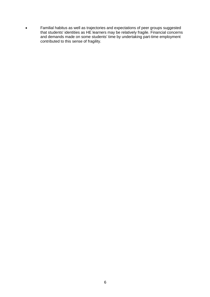Familial habitus as well as trajectories and expectations of peer groups suggested that students' identities as HE learners may be relatively fragile. Financial concerns and demands made on some students' time by undertaking part-time employment contributed to this sense of fragility.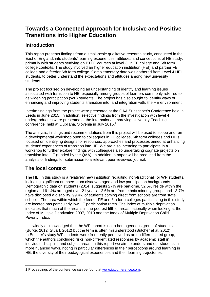## <span id="page-9-0"></span>**Towards a Connected Approach for Inclusive and Positive Transitions into Higher Education**

## <span id="page-9-1"></span>**Introduction**

This report presents findings from a small-scale qualitative research study, conducted in the East of England, into students' learning experiences, attitudes and conceptions of HE study, primarily with students studying on BTEC courses at level 3, in FE college and 6th form college contexts. The study involved an higher education institution (HEI) and partner FE college and a feeder 6th form college. Complementary data was gathered from Level 4 HEI students, to better understand the expectations and attitudes among new university students.

The project focused on developing an understanding of identity and learning issues associated with transition to HE, especially among groups of learners commonly referred to as widening participation (WP) students. The project has also sought to identify ways of enhancing and improving students' transition into, and integration with, the HE environment.

Interim findings from the project were presented at the QAA Subscriber's Conference held in Leeds in June 2015. In addition, selective findings from the investigation with level 4 undergraduates were presented at the international Improving University Teaching conference, held at Ljubljana, Slovenia in July 2015.<sup>1</sup>

The analysis, findings and recommendations from this project will be used to scope and run a developmental workshop open to colleagues in FE colleges, 6th form colleges and HEIs focused on identifying designs for resources, approaches and processes aimed at enhancing students' experiences of transition into HE. We are also intending to participate in a workshop to further explore findings with colleagues also undertaking cognate projects on transition into HE (funded by the QAA). In addition, a paper will be produced from the analysis of findings for submission to a relevant peer-reviewed journal.

## <span id="page-9-2"></span>**The local context**

The HEI in this study is a relatively new institution recruiting 'non-traditional', or WP students, including significant numbers from disadvantaged and low participation backgrounds. Demographic data on students (2014) suggests 27% are part-time, 52.5% reside within the region and 61.4% are aged over 21 years. 12.6% are from ethnic minority groups and 13.7% have disclosed a disability. 99.4% of students coming direct from schools are from state schools. The area within which the feeder FE and 6th form colleges participating in this study are located has particularly low HE participation rates. The index of multiple deprivation indicates that much of the area is in the poorest fifth of areas nationally when looking at the Index of Multiple Deprivation 2007, 2010 and the Index of Multiple Deprivation Child Poverty Index.

It is widely acknowledged that the WP cohort is not a homogeneous group of students (Burke, 2012; Stuart, 2012) but the term is often misunderstood (Butcher et al, 2012). In Butcher's study WP students were frequently perceived as an undifferentiated group, which the authors concluded risks non-differentiated responses by academic staff in individual discipline and subject areas. In this report we aim to understand our students in more nuanced ways, noting in particular differences in their perceptions around learning in HE, the diversity of their pedagogical experiences and their learning trajectories.

**<sup>.</sup>** 1 Proceedings of the conference can be found at [www.iutconference.com.](http://www.iutconference.com/)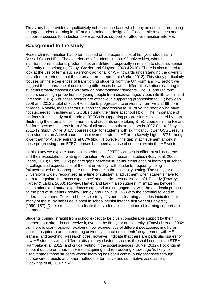This study has provided a qualitatively rich evidence base which may be useful in promoting engaged student learning in HE and informing the design of HE academic resources and support processes for induction to HE as well as support for effective transition into HE.

## <span id="page-10-0"></span>**Background to the study**

Research into transition has often focused on the experiences of first year students in Russell Group HEIs. The experiences of students in post-92 universities, where 'non-traditional' students predominate, are different, especially in relation to students' sense of identity and belonging (Reay, Crozier and Clayton, 2009 &2010). There is also a need to look at the use of terms such as 'non-traditional' or WP, towards understanding the diversity of student experience that these broad terms represent (Burke, 2012). This study particularly focuses on the experiences of transitioning students from the 6th Form and FE sector; we suggest the importance of considering differences between different institutions catering for students broadly classed as WP and/ or 'non-traditional' students. The FE and 6th form sectors serve high proportions of young people from disadvantaged areas (Smith, Joslin and Jameson, 2015). Yet, these sectors are effective in supporting progression to HE; between 2008 and 2012 a total of 795, 470 students progressed to university from FE and 6th form colleges. Notably, these sectors support the progression to HE of young people who have not succeeded in achieving 5 GCSEs during their time at school (ibid.). The importance of the focus in this study on the role of BTECs in supporting progression is highlighted by data illustrating the dramatic rise in numbers of students undertaking BTEC courses in the FE and 6th form sectors; this rose from 22% of all students in these sectors in 2007-8 to 41% by 2011-12 (ibid.). While BTEC courses cater for students with significantly lower GCSE results than students on A level courses, achievement rates in HE are relatively high at 67%, though lower than for A level entrants at 83% (ibid.). However, the gap in achievement amongst those progressing from BTEC courses has been a cause of concern within the HE sector.

In this study we explore students' experiences of BTEC courses in different subject areas and their expectations relating to transition. Previous research studies (Reay et al, 2005; Leese, 2010; Burke, 2012) point to gaps between students' experience of learning at school or college and expectations of them at university, with students frequently being (mis)construed as inappropriate or inadequate in the university setting. The first year at university is widely recognised as a time of substantial adjustment when students have to learn to negotiate 'the mass experience' and the de-personalisation of HE study (Rowley, Hartley & Larkin, 2008). Rowley, Hartley and Larkin also suggest 'mismatches between expectations and actual experiences can lead to disengagement with the academic process' on the part of students (Rowley, Hartley and Larkin, p. 399) with the potential to lead to underachievement. Cook and Leckey's study of students' learning attitudes indicates that 'many of the study habits developed in school persist into the first year of university' (1999: 157). Other studies also indicate that students' expectations of learning support are not met in HE.

Students coming straight from school expect to be given considerable support by their teachers, but often do not receive it, even in the first year at university. (Entwistle et al, 2002: 9). There is scant research exploring how experiences of different pedagogies in different institutions prior to and on entering university impact on students' engagement with HE learning and teaching. Research does, however, indicate that there are particular issues for new HE students within different disciplinary clusters, such as threshold concepts in STEM (Pampaka et al, 2012) and critical writing in the social sciences (Burke, 2012). Hockings et al. point out the emphasis in HE on acquiring and reproducing knowledge 'is likely to disadvantage those students whose learning has been continuously assessed through coursework, projects and other methods of formative and summative assessment' (Hockings et al, 2007: 724).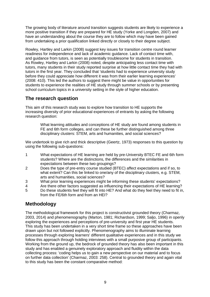The growing body of literature around transition suggests students are likely to experience a more positive transition if they are prepared for HE study (Yorke and Longden, 2007) and have an understanding about the course they are to follow which may have been gained from undertaking a prior qualification linked directly or closely to their degree subject.

Rowley, Hartley and Larkin (2008) suggest key issues for transition centre round learner readiness for independence and lack of academic guidance. Lack of contact time with, and guidance from tutors, is seen as potentially troublesome for students in transition. As Rowley, Hartley and Larkin (2008) noted, despite anticipating less contact time with tutors, many students in their study reported surprise at how little contact time they had with tutors in the first year. They concluded that 'students had to experience university study before they could appreciate how different it was from their earlier learning experiences' (2008: 410). This led the authors to suggest there might be value in opportunities for students to experience the realities of HE study through summer schools or by presenting school curriculum topics in a university setting in the style of higher education.

## <span id="page-11-0"></span>**The research question**

This aim of this research study was to explore how transition to HE supports the increasing diversity of prior educational experiences of entrants by asking the following research question:

> What learning attitudes and conceptions of HE study are found among students in FE and 6th form colleges, and can these be further distinguished among three disciplinary clusters: STEM, arts and humanities, and social sciences?

We undertook to give rich and thick descriptive (Geertz, 1973) responses to this question by using the following sub-questions:

- 1 What expectations of HE learning are held by pre-University BTEC FE and 6th form students? Where are the distinctions, the differences and the similarities in expectations between these two groupings?
- 2 Does the type of pre-entry course studied (BTEC) affect expectations and if so, to what extent? Can this be linked to one/any of the disciplinary clusters, e.g. STEM, arts and humanities, social sciences?
- 3 What prior learning experiences might be informing these students' expectations?
- 4 Are there other factors suggested as influencing their expectations of HE learning?
- 5 Do these students feel they will fit into HE? And what do they feel they need to fit in, from the FE/6th form and from an HEI?

## <span id="page-11-1"></span>**Methodology**

The methodological framework for this project is constructivist grounded theory (Charmaz, 2003, 2014) and phenomenography (Marton, 1981; Richardson, 1999; Saljo, 1996) in openly exploring the experiences and perceptions of pre-university and first year HE students. This study has been undertaken in a very short time frame so these approaches have been drawn upon but not followed explicitly. Phenomenography aims to illuminate learning processes through exploring learners' different qualitative experiences and in this study we follow this approach through holding interviews with a small purposive group of participants. Working from the ground up, the bedrock of grounded theory has also been important in this study and has enabled a genuinely exploratory approach and fluidity within the data collecting process: 'coding helps us to gain a new perspective on our material and to focus on further data collection' (Charmaz, 2003: 258). Central to grounded theory and again vital to this study has been the constant comparative method: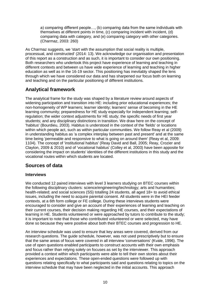a) comparing different people…, (b) comparing data from the same individuals with themselves at different points in time, (c) comparing incident with incident, (d) comparing data with category, and (e) comparing category with other categories. (Charmaz, 2003: 260)

As Charmaz suggests, we 'start with the assumption that social reality is multiple. processual, and constructed' (2014: 13). We acknowledge our organisation and presentation of this report as a construction and as such, it is important to consider our own positioning. Both researchers who undertook this project have experience of learning and teaching in different contexts and between us have wide experience of learning and teaching in higher education as well as in the 16-19 sector. This positioning has inevitably shaped the lens through which we have considered our data and has sharpened our focus both on learning and teaching and on the particular positioning of different institutions.

## <span id="page-12-0"></span>**Analytical framework**

The analytical frame for the study was shaped by a literature review around aspects of widening participation and transition into HE: including prior educational experiences; the non-homogeneity of WP learners; learner identity; learners' sense of becoming in the HE learning community; preparedness for HE study especially for independent learning; selfregulation; the wider context adjustments for HE study; the specific needs of first year students; and any disciplinary distinctions in transition. We draw here on the concept of 'habitus' (Bourdieu, 2003). Habitus is understood in the context of the 'fields' or locations within which people act, such as within particular communities. We follow Reay et al (2009) in understanding habitus as 'a complex interplay between past and present' and at the same time being 'permeable and responsive to what is going on around them' (Reay et al, 2009: 1104). The concept of 'institutional habitus' (Reay David and Ball, 2005; Reay, Crozier and Clayton, 2009 & 2010) and of 'vocational habitus' (Colley et al, 2003) have been apposite for considering the impact on students' identities of the different institutions in this study and the vocational routes within which students are located.

## <span id="page-12-1"></span>**Sources of data**

## **Interviews**

We conducted 12 paired interviews with level 3 learners studying on BTEC courses within the following disciplinary clusters: science/engineering/technology; arts and humanities; health-related; and social sciences (SS) totalling 24 students, all aged 18+ to avoid ethical issues, including the need to acquire parental consent. All students were in the HEI feeder contexts, at a 6th form college or FE college. During these interviews students were encouraged to consider and give an account of their experiences of learning and teaching on their current courses, their decision making regarding HE courses, and their expectations of learning in HE. Students volunteered or were approached by tutors to contribute to the study; it is important to note that those who contributed volunteered or were selected, may have done so because they were positive about both their BTEC courses and progression to HE.

An interview schedule was used to ensure that key areas were covered, derived from our research questions. The guide schedule, however, was not used prescriptively but to ensure that the same areas of focus were covered in all interview 'conversations' (Kvale, 1996). The use of open questions enabled participants to construct accounts with their own emphasis and focus rather than relying solely on focuses as set by the interviewer. This approach provided a context within which participants were able to tell their own stories about their experiences and expectations. These open-ended questions were followed up with questions relating specifically to what participants said and questions relating to topics on the interview schedule that may have been neglected in the initial accounts. This approach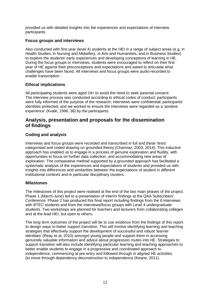provided us with detailed insights into the experiences and expectations of interview participants.

## **Focus groups and interviews**

Also conducted with first year (level 4) students at the HEI in a range of subject areas (e.g. in Health Studies, in Nursing and Midwifery, in Arts and Humanities, and in Business Studies) to explore the students' early experiences and developing conceptions of learning in HE. During the focus groups or interviews, students were encouraged to reflect on their first year of HE against their preconceptions and expectations and asked to articulate what challenges have been faced. All interviews and focus groups were audio-recorded to enable transcription.

## **Ethical implications**

All participating students were aged 18+ to avoid the need to seek parental consent. The interview process was conducted according to ethical codes of conduct: participants were fully informed of the purpose of the research; interviews were confidential; participants' identities protected; and we worked to ensure the interviews were regarded as a 'positive experience' (Kvale, 1996: 36) by the participants.

## <span id="page-13-0"></span>**Analysis, presentation and proposals for the dissemination of findings**

## **Coding and analysis**

Interviews and focus groups were recorded and transcribed in full and these 'texts' categorised and coded drawing on grounded theory (Charmaz, 2003, 2014). This inductive approach has enabled us to engage in a process of genuine exploration and fluidity, with opportunities to focus on further data collection, and accommodating new areas of exploration. The comparative method supported by a grounded approach has facilitated a systematic analysis of the experiences and expectations of students and provided us with insights into differences and similarities between the expectations of student in different institutional contexts and in particular disciplinary clusters.

### **Milestones**

The milestones of this project were realised at the end of the two main phases of the project. Phase 1 (March-June) led to a presentation of interim findings at the QAA Subscribers' Conference. Phase 2 has produced this final report including findings from the 6 interviews with BTEC students and from the interviews/focus groups with Level 4 undergraduate students. Two workshops are planned for teachers and lecturers from collaborating colleges and at the lead HEI, but open to others.

The long term outcomes of the project will be to use evidence from the findings of this report to design ways to better support transition. This will involve identifying learning and teaching strategies that effectively support the development of successful and robust 'learner identities' (Reay et al, 2010) amongst young people and support them in accessing genuinely valuable information and advice about progression routes into HE. Strategies to support transition will also include identifying particular learning and teaching approaches to better enable students to engage in a progressive and coordinated approach to independence, commencing at pre-entry and followed through in aligned HE activities (to move through dependency-deconstruction to independence (Keane, 2011).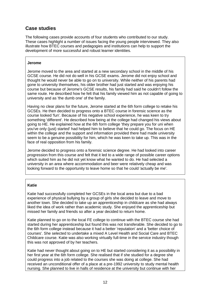## <span id="page-14-0"></span>**Case studies**

The following cases provide accounts of four students who contributed to our study. These cases highlight a number of issues facing the young people interviewed. They also illustrate how BTEC courses and pedagogies and institutions can help to support the development of more successful and robust learner identities.

#### **Jerome**

Jerome moved to the area and started at a new secondary school in the middle of his GCSE course. He did not do well in his GCSE exams. Jerome did not enjoy school and thought he would never be able to go on to university. While neither of his parents had gone to university themselves, his older brother had just started and was enjoying his course but because of Jerome's GCSE results, his family had said he couldn't follow the same route. He described how he felt that his family viewed him as not capable of going to university and as 'the dumb one' of the family.

Having no clear plans for the future, Jerome started at the 6th form college to retake his GCSEs. He then decided to progress onto a BTEC course in forensic science as the course looked 'fun'. Because of his negative school experience, he was keen to try something 'different'. He described how being at the college had changed his views about going to HE. He explained how at the 6th form college 'they prepare you for uni when you've only (just) started' had helped him to believe that he could go. The focus on HE within the college and the support and information provided there had made university seem to be a genuine possibility for him, which he was keen to take up. This was in the face of real opposition from his family.

Jerome decided to progress onto a forensic science degree. He had looked into career progression from this course and felt that it led to a wide range of possible career options which suited him as he did not yet know what he wanted to do. He had selected a university in an area where accommodation and beer were relatively cheap and was looking forward to the opportunity to leave home so that he could 'actually be me'.

### **Katie**

Katie had successfully completed her GCSEs in the local area but due to a bad experience of physical bullying by a group of girls she decided to leave and move to another town. She decided to take up an apprenticeship in childcare as she had always liked the idea of work rather than academic study. She enjoyed the apprenticeship but missed her family and friends so after a year decided to return home.

Katie planned to go on to the local FE college to continue with the BTEC course she had started during her apprenticeship but found this was not transferable. She decided to go to the 6th form college instead because it had a better 'reputation' and a 'better choice of courses'. She selected to undertake a mixed A Level Health and Social Care and BTEC Childcare course. Katie was also working virtually full-time in the service industry though this was not approved of by her teachers.

Katie had never thought about going on to HE but started considering it as a possibility in her first year at the 6th form college. She realised that if she studied for a degree she could progress into a job related to the courses she was doing at college. She had received an unconditional offer of a place at a pre-1992 university to study mental health nursing. She planned to live in halls of residence at the university but continue with her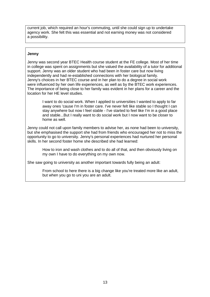current job, which required an hour's commuting, until she could sign up to undertake agency work. She felt this was essential and not earning money was not considered a possibility.

#### **Jenny**

Jenny was second year BTEC Health course student at the FE college. Most of her time in college was spent on assignments but she valued the availability of a tutor for additional support. Jenny was an older student who had been in foster care but now living independently and had re-established connections with her biological family. Jenny's choices in her BTEC course and in her plan to do a degree in social work were influenced by her own life experiences, as well as by the BTEC work experiences. The importance of being close to her family was evident in her plans for a career and the location for her HE level studies.

I want to do social work. When I applied to universities I wanted to apply to far away ones 'cause I'm in foster care. I've never felt like stable so I thought I can stay anywhere but now I feel stable - I've started to feel like I'm in a good place and stable...But I really want to do social work but I now want to be closer to home as well.

Jenny could not call upon family members to advise her, as none had been to university, but she emphasised the support she had from friends who encouraged her not to miss the opportunity to go to university. Jenny's personal experiences had nurtured her personal skills. In her second foster home she described she had learned:

How to iron and wash clothes and to do all of that, and then obviously living on my own I have to do everything on my own now.

She saw going to university as another important towards fully being an adult:

From school to here there is a big change like you're treated more like an adult, but when you go to uni you are an adult.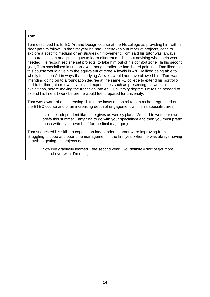#### **Tom**

Tom described his BTEC Art and Design course at the FE college as providing him with 'a clear path to follow'. In the first year he had undertaken a number of projects, each to explore a specific medium or artistic/design movement. Tom said his tutor was 'always encouraging' him and 'pushing us to learn different medias' but advising when help was needed. He recognised she set projects 'to take him out of his comfort zone'*.* In his second year, Tom specialised in fine art even though earlier he had 'hated painting'. Tom liked that this course would give him the equivalent of three A levels in Art. He liked being able to wholly focus on Art in ways that studying A levels would not have allowed him. Tom was intending going on to a foundation degree at the same FE college to extend his portfolio and to further gain relevant skills and experiences such as presenting his work in exhibitions, before making the transition into a full university degree. He felt he needed to extend his fine art work before he would feel prepared for university.

Tom was aware of an increasing shift in the locus of control to him as he progressed on the BTEC course and of an increasing depth of engagement within his specialist area:

It's quite independent like - she gives us weekly plans. We had to write our own briefs this summer…anything to do with your specialism and then you must pretty much write...your own brief for the final major project.

Tom suggested his skills to cope as an independent learner were improving from struggling to cope and poor time management in the first year when he was always having to rush to getting his projects done:

Now I've gradually learned…the second year [I've] definitely sort of got more control over what I'm doing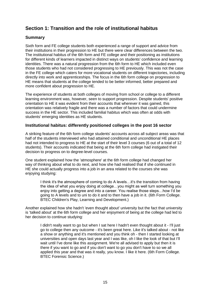## <span id="page-17-0"></span>**Section 1: Transition and the role of institutional habitus**

## **Summary**

Sixth form and FE college students both experienced a range of support and advice from their institutions in their progression to HE but there were clear differences between the two. The institutional habitus of the 6th form and FE college and their positioning as institutions for different kinds of learners impacted in distinct ways on students' confidence and learning identities. There was a natural progression from the 6th form to HE which included even those students who had not considered progressing to HE previously. This was not the case in the FE college which caters for more vocational students on different trajectories, including directly into work and apprenticeships. The focus in the 6th form college on progression to HE means that students at the college tended to be better informed, better prepared and more confident about progression to HE.

The experience of students at both colleges of moving from school or college to a different learning environment was, however, seen to support progression. Despite students' positive orientation to HE it was evident from their accounts that wherever it was gained, this orientation was relatively fragile and there was a number of factors that could undermine success in the HE sector. This included familial habitus which was often at odds with students' emerging identities as HE students.

### **Institutional habitus: differently positioned colleges in the post 16 sector**

A striking feature of the 6th form college students' accounts across all subject areas was that half of the students interviewed who had attained conditional and unconditional HE places had not intended to progress to HE at the start of their level 3 courses (6 out of a total of 12 students). Their accounts indicated that being at the 6th form college had instigated their decision to progress on to degree-level courses.

One student explained how the 'atmosphere' at the 6th form college had changed her way of thinking about what to do next, and how she had realised that if she continued in HE she could actually progress into a job in an area related to the courses she was enjoying studying:

I think it's the atmosphere of coming to do A levels…it's the transition from having the idea of what you enjoy doing at college…you might as well turn something you enjoy into getting a degree and into a career. You realise those steps…how I'd be going to A levels and to uni to do it and to then have a job in it. (6th Form College. BTEC Children's Play, Learning and Development.)

Another explained how she hadn't 'even thought about' university but the fact that university is 'talked about' at the 6th form college and her enjoyment of being at the college had led to her decision to continue studying:

I didn't really want to go but when I sat here I hadn't even thought about it - I'll just go to college then any outcome - it's been great here. Like it's talked about - not like a show or anything and it's mentioned and you think oh - then I started looking at universities and open days last year and I was like, oh I like the look of that but I'll wait until I've done like this assignment. We're all advised to apply but then it is there if you want to go and if you don't want to go you don't have to so we all applied this year and that was it really, you know. I like it here. (6th Form College. BTEC Forensic Science.)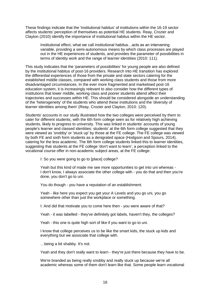These findings indicate that the 'institutional habitus' of institutions within the 16-19 sector affects students' perception of themselves as potential HE students. Reay, Crozier and Clayton (2010) identify the importance of institutional habitus within the HE sector.

Institutional effect, what we call institutional habitus…acts as an intervening variable, providing a semi-autonomous means by which class processes are played out in the HE experiences of students, and provides the parameter of possibilities in terms of identity work and the range of learner identities (2010: 111).

This study indicates that the 'parameters of possibilities' for young people are also defined by the institutional habitus of post-16 providers. Research into HE transition has explored the differential experiences of those from the private and state sectors catering for the established middle classes, compared with working class students and those from more disadvantaged circumstances. In the ever more fragmented and marketised post-16 education system, it is increasingly relevant to also consider how the different types of institutions that lower middle, working class and poorer students attend affect their trajectories and successes within HE. This should be considered alongside an understanding of the 'heterogeneity' of the students who attend these institutions and the 'diversity of learner identities among them' (Reay, Crozier and Clayton, 2010: 120).

Students' accounts in our study illustrated how the two colleges were perceived by them to cater for different students, with the 6th form college seen as for relatively high achieving students, likely to progress to university. This was linked in students' accounts of young people's learner and classed identities: students' at the 6th form college suggested that they were viewed as 'snobby' or 'stuck up' by those at the FE college. The FE college was viewed by both FE and sixth form students as a denigrated space (Hodgson and Spours, 2014), catering for the less academic. The 6th form college students linked this to learner identities, suggesting that students at the FE college 'don't want to learn', a perception linked to the vocational course offer in non-academic subject areas, at the FE college:

I: So you were going to go to [place] college?

Yeah but this kind of made me see more opportunities to get into uni whereas - I don't know, I always associate the other college with - you do that and then you're done, you don't go to uni.

You do though - you have a reputation of an establishment.

Yeah - like here you expect you get your A Levels and you go uni, you go somewhere other than just the workplace or something.

I: And did that motivate you to come here then - you were aware of that?

Yeah - it was labelled - they've definitely got labels, haven't they, the colleges?

Yeah - this one is quite high sort of like if you want to go to uni.

I know that college perceives us to be like the smart kids, the stuck up kids and everything but we associate that college with.

…being a bit shabby. It's not.

Yeah and they don't really want to learn - they're just there because they have to be.

We're branded as being really snobby and really stuck up because we're all academic whereas some of them don't learn like that. Some people learn vocational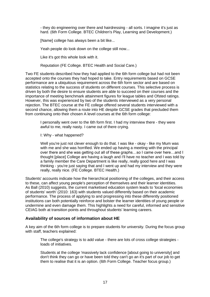- they do engineering over there and hairdressing - all sorts. I imagine it's just as hard. (6th Form College. BTEC Children's Play, Learning and Development.)

[Name] college has always been a bit like...

Yeah people do look down on the college still now...

Like it's got this whole look with it.

Reputation (FE College. BTEC Health and Social Care.)

Two FE students described how they had applied to the 6th form college but had not been accepted onto the courses they had hoped to take. Entry requirements based on GCSE performance are a ubiquitous requirement across the 6th form sector and are based on statistics relating to the success of students on different courses. This selective process is driven by both the desire to ensure students are able to succeed on their courses and the importance of meeting benchmark attainment figures for league tables and Ofsted ratings. However, this was experienced by two of the students interviewed as a very personal rejection. The BTEC course at the FE college offered several students interviewed with a second chance, allowing them a route into HE despite GCSE grades that precluded them from continuing onto their chosen A level courses at the 6th form college:

I personally went over to the 6th form first. I had my interview there - they were awful to me, really nasty. I came out of there crying.

I: Why - what happened?

Well you're just not clever enough to do that. I was like - okay - like my Mum was with me and she was horrified. We ended up having a meeting with the principal over there and she was getting out all of these graphs…so I came over here…and I thought [place] College are having a laugh and I'll have no teacher and I was told by a family member the Care Department is like really, really good here and I was thinking - you're just saying that and I went up and had my interview and they were really, really nice. (FE College. BTEC Health.)

Students' accounts indicate how the hierarchical positioning of the colleges, and their access to these, can affect young people's perception of themselves and their learner identities. As Ball (2010) suggests, the current marketised education system leads to 'local economies of students' worth' (2010: 163) with students valued differently based on their academic performance. The process of applying to and progressing into these differently positioned institutions can both potentially reinforce and bolster the learner identities of young people or undermine and even damage them. This highlights a need for careful, informed and sensitive CEIAG both at transition points and throughout students' learning careers.

### **Availability of sources of information about HE**

A key aim of the 6th form college is to prepare students for university. During the focus group with staff, teachers explained:

The college's strategy is to add value - there are lots of cross college strategies loads of initiatives.

Students at the college 'massively lack confidence [about going to university] and don't think they can go or have been told they can't go an it's part of our job to get them to realise that it is an option. (6th Form College. Teacher focus group.)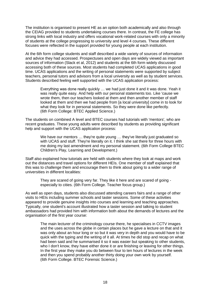The institution is organised to present HE as an option both academically and also through the CEIAG provided to students undertaking courses there. In contrast, the FE college has strong links with local industry and offers vocational work-related courses with only a minority of students at the college progressing to university and level 4 courses. These different focuses were reflected in the support provided for young people at each institution.

At the 6th form college students and staff described a wide variety of sources of information and advice they had accessed. Prospectuses and open days are widely viewed as important sources of information (Slack et al, 2012) and students at the 6th form widely discussed accessing both of these sources. Most students had completed UCAS applications in good time. UCAS applications and the writing of personal statements were supported by subject teachers, personal tutors and advisors from a local university as well as by student services. Students described feeling well supported with the UCAS application process:

Everything was done really quickly … we had just done it and it was done. Yeah it was really quite easy. And help with our personal statements too. Like 'cause we wrote them, then our teachers looked at them and then another member of staff looked at them and then we had people from [a local university] come in to look for what they look for in personal statements. So they were done like perfectly. (6th Form College: BTEC Applied Science.)

The students on combined A level and BTEC courses had tutorials with 'mentors', who are recent graduates. These young adults were described by students as providing significant help and support with the UCAS application process:

We have our mentors ... they're quite young ... they've literally just graduated so with UCAS and stuff. They're literally on it. I think she sat there for three hours with me doing my last amendment and my personal statement. (6th Form College BTEC Children's Play, Learning and Development.)

Staff also explained how tutorials are held with students where they look at maps and work out the distances and travel options for different HEIs. One member of staff explained that this was to challenge them and encourage them to think about going to a wider range of universities in different localities:

They are scared of going very far. They like it here and are scared of going especially to cities. (6th Form College. Teacher focus group.)

As well as open days, students also discussed attending careers fairs and a range of other visits to HEIs including summer schools and taster sessions. Some of these activities appeared to provide genuine insights into courses and learning and teaching approaches. Typically, one student's account illustrated how a taster session and talking to student ambassadors had provided him with information both about the demands of lectures and the organisation of the first year course:

The main lecturer of the criminology course there, he specialises in CCTV images and the uses across the globe in certain places but he gave a lecture on that and it was only about an hour long or so but it was very in depth and you would have to be quick with the typing and the writing of it all. At times he did stop and recap on what had been said and he summarised it so it was easier but speaking to other students, who I don't know, they have either done it or are finishing or leaving for other things. In the first year they make you do between four to ten hours of lectures in the week and then you spend probably another thirty doing your own work by yourself. (6th Form College. BTEC Forensic Science.)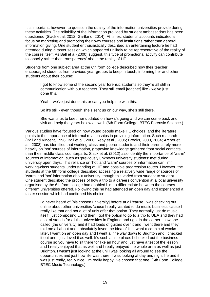It is important, however, to question the quality of the information universities provide during these activities. The reliability of the information provided by student ambassadors has been questioned (Slack et al, 2012; Gartland, 2014). At times, students' accounts indicated a focus on marketing and promoting their own courses and institutions rather than general information giving. One student enthusiastically described an entertaining lecture he had attended during a taster session which appeared unlikely to be representative of the reality of the course itself. As Ball et al (2000) suggest, this type of promotional activity can contribute to 'opacity rather than transparency' about the reality of HE.

Students from one subject area at the 6th form college described how their teacher encouraged students from previous year groups to keep in touch, informing her and other students about their course:

I got to know some of the second year forensic students so they're all still in communication with our teachers. They still email [teacher] like - we've just done this.

Yeah - we've just done this or can you help me with this.

So it's still - even though she's sent us on our way, she's still there.

She wants us to keep her updated on how it's going and we can come back and visit and help the years below as well. (6th Form College. BTEC Forensic Science.)

Various studies have focused on how young people make HE choices, and the literature points to the importance of informal relationships in providing information. Such research (Ball and Vincent, 1998; Ball et al., 2000; Reay et al., 2005; Brooks, 2003, 2004; Archer et al., 2003) has identified that working-class and poorer students and their parents rely more heavily on 'hot' sources of information, grapevine knowledge gathered from social contacts, than their middle-class counterparts. Slack et al. (2012) also identify the importance of 'warm' sources of information, such as 'previously unknown university students' met during university open days. This reliance on 'hot' and 'warm' sources of information can limit working-class students' understanding of HE and possible progression routes. However, the students at the 6th form college described accessing a relatively wide range of sources of 'warm' and 'hot' information about university, though this varied from student to student. One student described the process of how a trip to a careers convention at a local university organised by the 6th form college had enabled him to differentiate between the courses different universities offered. Following this he had attended an open day and experienced a taster session which had confirmed his choice:

I'd never heard of [his chosen university] before at all 'cause I was checking out online about other universities 'cause I really wanted to do music business 'cause I really like that and not a lot of unis offer that option. They normally just do music itself, just composing…and then I got the option to go to a trip to UEA and they had a lot of stands for all the universities in England and right in the corner I saw one called [the university] and it had loads of guitars over it and I went there and they told me all about and I absolutely loved the idea of it…I went a couple of weeks later. I went on an open day and I went all the way down to Brighton and I checked it out and I just loved it as well. It's such a nice place. I checked out the business course so you have to sit there for like an hour and just have a test of the lesson and I really enjoyed that as well and I really enjoyed the whole area as well as just Brighton. I wasn't just looking at the uni I was looking all around to see the opportunities and just how life was there. I was looking at day and night life and it was just really, really nice. I'm really happy I've chosen that one. (6th Form College: BTEC Music Technology.)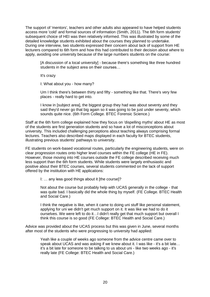The support of 'mentors', teachers and other adults also appeared to have helped students access more 'cold' and formal sources of information (Smith, 2011). The 6th form students' subsequent choice of HEI was then relatively informed. This was illustrated by some of the detailed knowledge students exhibited about the courses they planned to undertake. During one interview, two students expressed their concern about lack of support from HE lecturers compared to 6th form and how this had contributed to their decision about where to apply, avoiding one university because of the large numbers students on the course:

[A discussion of a local university] *-* because there's something like three hundred students in the subject area on their courses…

It's crazy

I: What about you - how many?

Um I think there's between thirty and fifty - something like that. There's very few places - really hard to get into.

I know in [subject area], the biggest group they had was about seventy and they said they'd never go that big again so it was going to be just under seventy, which sounds quite nice. (6th Form College. BTEC Forensic Science.)

Staff at the 6th form college explained how they focus on 'dispelling myths' about HE as most of the students are first generation students and so have a lot of misconceptions about university. This included challenging perceptions about teaching always comprising formal lectures. Teachers also described maps displayed in each faculty for BTEC students, illustrating previous students' pathways to university.

FE students on work-based vocational routes, particularly the engineering students, were on clear progression routes onto higher level courses within the FE college (HE in FE). However, those moving into HE courses outside the FE college described receiving much less support than the 6th form students. While students were largely enthusiastic and positive about their BTEC courses, several students commented on the lack of support offered by the institution with HE applications:

I: … any less good things about it [the course]?

Not about the course but probably help with UCAS generally in the college - that was quite bad. I basically did the whole thing by myself. (FE College. BTEC Health and Social Care.)

I think the negative is like, when it came to doing uni stuff like personal statement, applying for uni we didn't get much support on it. It was like we had to do it ourselves. We were left to do it…I didn't really get that much support but overall I think this course is so good (FE College: BTEC Health and Social Care.)

Advice was provided about the UCAS process but this was given in June, several months after most of the students who were progressing to university had applied:

Yeah like a couple of weeks ago someone from the advice centre came over to speak about UCAS and was asking if we knew about it. I was like - it's a bit late... it's a bit late for someone to be talking to us about uni - like two weeks ago - it's really late (FE College: BTEC Health and Social Care.)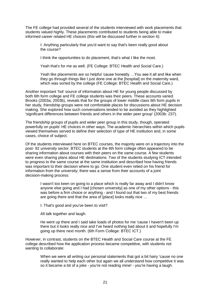The FE college had provided several of the students interviewed with work placements that students valued highly. These placements contributed to students being able to make informed career related HE choices (this will be discussed further in section 4):

I: Anything particularly that you'd want to say that's been really good about the course?

I think the opportunities to do placement, that's what I like the most.

Yeah that's for me as well. (FE College: BTEC Health and Social Care.)

Yeah like placements are so helpful 'cause honestly …You see it all and like when they go through things like I just done one at the [hospital] on the maternity ward, which was sorted by the college (FE College: BTEC Health and Social Care.)

Another important 'hot' source of information about HE for young people discussed by both 6th form college and FE college students was their peers. These accounts varied. Brooks (2003a; 2003b), reveals that for the groups of lower middle class 6th form pupils in her study, friendship groups were not comfortable places for discussions about HE decision making. She explored how such conversations tended to be avoided as they highlighted 'significant differences between friends and others in the wider peer group' (2003b: 237).

The friendship groups of pupils and wider peer group in this study, though, operated powerfully on pupils' HE choices in other ways. The academic hierarchies within which pupils viewed themselves served to define their selection of type of HE institution and, in some cases, choice of subject.

Of the students interviewed here on BTEC courses, the majority were on a trajectory into the post- 92 university sector. BTEC students at the 6th form college often appeared to be sharing information about courses with their peers on the same course. A few students were even sharing plans about HE destinations. Two of the students studying ICT intended to progress to the same course at the same institution and described how having friends was important to their decision where to go. One student even relied on his friend for information from the university; there was a sense from their accounts of a joint decision-making process:

I wasn't too keen on going to a place which is really far away and I didn't know anyone else going and I had [chosen university] as one of my other options - this was before a firm choice or anything - and I found out that two of my best friends are going there and that the area of [place] looks really nice …

I: That's good and you've been to visit?

All talk together and laugh.

He went up there and I said take loads of photos for me 'cause I haven't been up there but it looks really nice and I've heard nothing bad about it and hopefully I'm going up there next month. (6th Form College: BTEC ICT.)

However, in contrast, students on the BTEC Health and Social Care course at the FE college described how the application process became competitive, with students not wanting to collaborate:

> When we were all writing our personal statements that got a bit hairy 'cause no one really wanted to help each other but again we all understand how competitive it was so it became a bit of a joke - you're not reading mine! - you're having a laugh.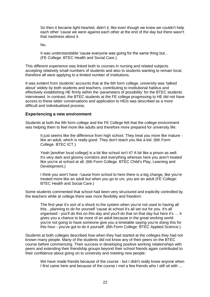So then it became light-hearted, didn't it, like even though we knew we couldn't help each other 'cause we were against each other at the end of the day but there wasn't that nastiness about it.

No.

It was understandable 'cause everyone was going for the same thing but… (FE College: BTEC Health and Social Care.)

This different experience was linked both to courses in nursing and related subjects accepting relatively small numbers of students and also to students wanting to remain local, therefore all were applying to a limited number of institutions.

It was evident from students' accounts that at the 6th form college, university was 'talked about' widely by both students and teachers, contributing to institutional habitus and effectively establishing HE firmly within the 'parameters of possibility' for the BTEC students interviewed. In contrast, the BTEC students at the FE college progressing to HE did not have access to these wider conversations and application to HEIs was described as a more difficult and individualised process.

### **Experiencing a new environment**

Students at both the 6th form college and the FE College felt that the college environment was helping them to feel more like adults and therefore more prepared for university life:

It just seems like the difference from high school. They treat you more like mature like an adult, which is really good. They don't teach you like a kid. (6th Form College. BTEC ICT.)

Yeah [another local college] is a bit like school isn't it? A bit like a prison as well. It's very dark and gloomy corridors and everything whereas here you aren't treated like you're at school at all. (6th Form College. BTEC Child's Play, Learning and Development.)

I think you won't have -'cause from school to here there is a big change, like you're treated more like an adult but when you go to uni, you are an adult (FE College: BTEC Health and Social Care.)

Some students commented that school had been very structured and explicitly controlled by the teachers while at college there was more flexibility and freedom:

The first year it's sort of a shock to the system when you're not used to having all this…planning to do for yourself 'cause at school it's all set out for you. It's all organised - you'll do this on this day and you'll do that on that day but here it's … it gives you a chance to be more of an adult because in the great working world you're not going to have someone give you a timetable saying you're doing this for this hour - you've got to do it yourself. (6th Form College: BTEC Applied Science.)

Students at both colleges described how when they had started at the colleges they had not known many people. Many of the students did not know any of their peers on the BTEC course before commencing. Their success in developing positive working relationships with peers and extending their friendship groups beyond their school friends again contributed to their confidence about going on to university and meeting new people:

We have made friends because of the course - but I didn't really know anyone when I first came here and because of the course I met a few friends who I still sit with …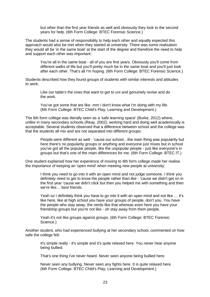but other than the first year friends as well and obviously they look to the second years for help. (6th Form College: BTEC Forensic Science.)

The students had a sense of responsibility to help each other and equally expected this approach would also be met when they started at university. There was some realisation they would all be 'in the same boat' at the start of the degree and therefore the need to help and support each other was important:

You're all in the same boat - all of you are first years. Obviously you'll come from different walks of life but you'll pretty much be in the same boat and you'll just look after each other. That's all I'm hoping. (6th Form College: BTEC Forensic Science.)

Students described how they found groups of students with similar interests and attitudes to work.

Like our table's the ones that want to get to uni and genuinely revise and do the work.

You've got some that are like -mm I don't know what I'm doing with my life. (6th Form College: BTEC Child's Play, Learning and Development.)

The 6th form college was literally seen as a 'safe learning space' (Burke, 2012) where, unlike in many secondary schools (Reay, 2002), working hard and doing well academically is acceptable. Several students observed that a difference between school and the college was that the students all mix and are not separated into different groups:

People were different as well - 'cause our school…the main thing was popularity but here there's no popularity groups or anything and everyone just mixes but in school you've got all the popular people, like the unpopular people - just like everyone's in groups but that's one of the main differences for me. (6th Form College: BTEC IT.)

One student explained how her experience of moving to 6th form college made her realise the importance of keeping an 'open mind' when meeting new people at university:

I think you need to go into it with an open mind and not judge someone. I think you definitely need to get to know the people rather than like - 'cause we didn't get on in the first year 'cause we didn't click but then you helped me with something and then we're like… best friends.

Yeah so I definitely think you have to go into it with an open mind and not like … it's like here, like at high school you have your groups of people, don't you. You have the people who stay away, the nerds like that whereas even here you have your friendship groups but you're not like - oh stay away from them people.

Yeah it's not like groups against groups. (6th Form College: BTEC Forensic Science.)

Another student, who had experienced bullying at her secondary school, commented on how safe the college felt:

It's simple really - it's simple and it's quite relaxed here. You never hear anyone being bullied.

That's one thing I've never heard. Never seen anyone being bullied here.

Never seen any bullying. Never seen any fights here. It is quite relaxed here. (6th Form College. BTEC Child's Play, Learning and Development.)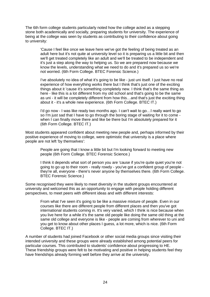The 6th form college students particularly noted how the college acted as a stepping stone both academically and socially, preparing students for university. The experience of being at the college was seen by students as contributing to their confidence about going to university:

'Cause I feel like once we leave here we've got the feeling of being treated as an adult here but it's not quite at university level so it is preparing us a little bit and then we'll get treated completely like an adult and we'll be treated to be independent and it's just a step along the way to helping us. So we are prepared now because we know the levels, understanding what we need to do and it's prepared us so we're not worried. (6th Form College. BTEC Forensic Science.)

I've absolutely no idea of what it's going to be like - just uni itself. I just have no real experience of how everything works there but I think that's just one of the exciting things about it 'cause it's something completely new. I think that's the same thing as here - like this is a lot different from my old school and that's going to be the same as uni - it will be completely different from how this…and that's just the exciting thing about it - it's a whole new experience. (6th Form College. BTEC IT.)

I'd go now - I was like ready two months ago. I can't wait to go…I really want to go so I'm just sad that I have to go through the boring stage of waiting for it to come when I can finally move there and like be there but I'm absolutely prepared for it (6th Form College. BTEC IT.)

Most students appeared confident about meeting new people and, perhaps informed by their positive experience of moving to college, were optimistic that university is a place where people are not left 'by themselves':

People are going that I know a little bit but I'm looking forward to meeting new people (6th Form College. BTEC Forensic Science.)

I think it depends what sort of person you are 'cause if you're quite quiet you're not going to go up to their room - really rowdy - you've got a confident group of people they're all, everyone - there's never anyone by themselves there. (6th Form College. BTEC Forensic Science.)

Some recognised they were likely to meet diversity in the student groups encountered at university and welcomed this as an opportunity to engage with people holding different perspectives, to meet peers with different ideas and with different interests:

From what I've seen it's going to be like a massive mixture of people. Even in our courses like there are different people from different places and then you've got international students coming in. It's very varied, which I think is nice because when you live here for a while it's the same old people like doing the same old thing at the same old college and everyone is like - people are coming from wherever to uni and you get to know about other places I guess, a lot more, which is nice. (6th Form College. BTEC IT.)

A number of students had joined Facebook or other social media groups since visiting their intended university and these groups were already established among potential peers for particular courses. This contributed to students' confidence about progressing to HE. These friendship groups were felt to be motivating and positive in helping students feel they have friendships already forming well before they arrive at the university.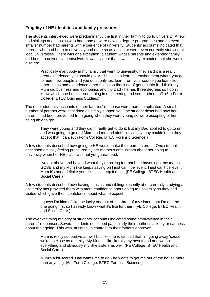#### **Fragility of HE identities and family pressures**

The students interviewed were predominantly the first in their family to go to university. A few had siblings and cousins who had gone or were now on degree programmes and an even smaller number had parents with experience of university. Students' accounts indicated that parents who had been to university had done so as adults or were even currently studying at local universities. There was one exception, a student whose parents and extended family had been to university themselves. It was evident that it was simply expected that she would also go:

Practically everybody in my family that went to university, they said it is a really great experience, you should go. And it's also a learning environment where you get to meet new people and you don't only just learn from your course you learn from other things and experience other things so that kind of got me into it…I think my Mum did business and economics and my Dad - he has three degrees so I don't know which one he did - something in engineering and some other stuff. (6th Form College. BTEC Business Studies.)

The other students' accounts of their families' response were more complicated. A small number of parents were described as simply supportive. One student described how her parents had been prevented from going when they were young so were accepting of her being able to go:

They were young and they didn't really get to do it. But my Dad applied to go to uni and was going to go and Mum had me and stuff…obviously they couldn't - so they accept that I can. (6th Form College. BTEC Forensic Science.)

A few students described how going to HE would make their parents proud. One student described actually feeling pressured by her mother's enthusiasm about her going to university when her HE place was not yet guaranteed:

I've got above and beyond what they're asking for that but I haven't got my maths GCSE and my Mum like keeps saying oh I just can't believe it, I just can't believe it. Mum it's not a definite yet - let's just keep it quiet. (FE College. BTEC Health and Social Care.)

A few students described how having cousins and siblings recently at or currently studying at university has provided them with more confidence about going to university as they had visited which gave them confidence about what to expect:

I guess I'm kind of like the lucky one out of the three of my sisters that I'm not the one going first so I already know what it's like for them. (FE College. BTEC Health and Social Care.)

The overwhelming majority of students' accounts indicated some ambivalence in their parents' responses. Several students described particularly their mother's anxiety or sadness about their going. This was, at times, in contrast to their father's approval:

Mum is really supportive as well but like she is still sad that I'm going away 'cause we're so close as a family. My Mum is like literally my best friend and we do everything and obviously my little sisters as well. (FE College. BTEC Health and Social Care.)

Mum's a bit scared. Dad wants me to go - he wants to get me out of the house more than anything. (6th Form College. BTEC Forensic Science.)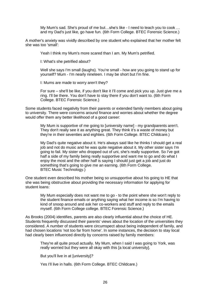My Mum's sad. She's proud of me but…she's like - I need to teach you to cook … and my Dad's just like, go have fun. (6th Form College. BTEC Forensic Science.)

A mother's anxiety was vividly described by one student who explained that her mother felt she was too 'small':

Yeah I think my Mum's more scared than I am. My Mum's petrified.

I: What's she petrified about?

Well she says I'm small (laughs). You're small - how are you going to stand up for yourself? Mum - I'm nearly nineteen. I may be short but I'm fine.

I: Mums are made to worry aren't they?

For sure – she'll be like, if you don't like it I'll come and pick you up. Just give me a ring. I'll be there. You don't have to stay there if you don't want to. (6th Form College. BTEC Forensic Science.)

Some students faced negativity from their parents or extended family members about going to university. There were concerns around finance and worries about whether the degree would offer them any better likelihood of a good career:

My Mum is supportive of me going to [university name] - my grandparents aren't. They don't really see it as anything great. They think it's a waste of money but they're in their seventies and eighties. (6th Form College. BTEC Childcare.)

My Dad's quite negative about it. He's always said like he thinks I should get a real job and not do music and he was quite negative about it. My other sister says I'm going to fail. My sister who dropped out of uni, she's really supportive. So I've got half a side of my family being really supportive and want me to go and do what I enjoy the most and the other half is saying I should just get a job and just do something that's going to give me an earning. (6th Form College. BTEC Music Technology.)

One student even described his mother being so unsupportive about his going to HE that she was being obstructive about providing the necessary information for applying for student loans:

My Mum especially does not want me to go - to the point where she won't reply to the student finance emails or anything saying what her income is so I'm having to kind of snoop around and ask her co-workers and stuff and reply to the emails myself. (6th Form College college. BTEC Forensic Science.)

As Brooks (2004) identifies, parents are also clearly influential about the choice of HE. Students frequently discussed their parents' views about the location of the universities they considered. A number of students were circumspect about being independent of family, and had chosen locations 'not too far from home'. In some instances, the decision to stay local had clearly been influenced directly by concerns raised by family members:

They're all quite proud actually. My Mum, when I said I was going to York, was really worried but they were all okay with this [a local university]*.*

But you'll live in at [university]*?*

Yes I'll live in halls. (6th Form College. BTEC Childcare.)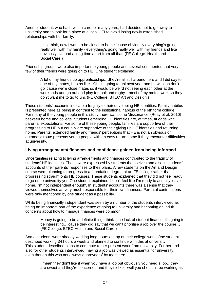Another student, who had lived in care for many years, had decided not to go away to university and to look for a place at a local HEI to avoid losing newly established relationships with her family:

> I just think, now I want to be closer to home 'cause obviously everything's going really well with my family - everything's going really well with my friends and like obviously I've had a long time apart from all that. (FE College. Health and Social Care.)

Friendship groups were also important to young people and several commented that very few of their friends were going on to HE. One student explained:

A lot of my friends do apprenticeships…they're all still around here and I did say to one of my mates, I do as like - Oh I'm going to uni next year and he was 'oh don't go' cause we're close mates so it would be weird not seeing each other at the weekends and go out and play football and rugby…most of my mates work so they don't want me to go to uni. (FE College. BTEC Art and Design.)

These students' accounts indicate a fragility to their developing HE identities. Family habitus is presented here as being in contrast to the institutional habitus of the 6th form college. For many of the young people in this study there was some 'dissonance' (Reay et al, 2010) between home and college. Students emerging HE identities are, at times, at odds with parental expectations. For some of these young people, families are supportive of their progressing to HE but equally are supportive of their giving up HE identities and returning home. Parents, extended family and friends' perceptions that HE is not an obvious or automatic route presents young people with an easy return home if they encounter difficulties at university.

#### **Living arrangements/ finances and confidence gained from being informed**

Uncertainties relating to living arrangements and finances contributed to the fragility of students' HE identities. These were expressed by students themselves and also in students' accounts of their parents' responses to their plans. A few students on the Art and Design course were planning to progress to a foundation degree at an FE college rather than progressing straight onto HE courses. These students explained that they did not feel ready to go on to university yet. One student explained 'I don't feel like I'm ready to actually leave home. I'm not independent enough'. In students' accounts there was a sense that they viewed themselves as very much responsible for their own finances. Parental contributions were only mentioned by one student as a possibility.

While being financially independent was seen by a number of the students interviewed as being an important part of the experience of going to university and becoming an 'adult', concerns about how to manage finances were common:

Money is going to be a definite thing I think - the lack of student finance. It's going to be interesting…'cause they did say that we can't prioritise a job over the course… (FE College. BTEC Health and Social Care.)

Some students were already working long hours on top of their college work. One student described working 34 hours a week and planned to continue with this at university. This student described plans to commute to her present work from university. For her and also for other students interviewed, having a job was viewed as essential for university, even though this was not always approved of by teachers:

I mean they don't like it when you have a job but obviously you need a job…they are sweet and they're concerned and they're like - well you shouldn't be working as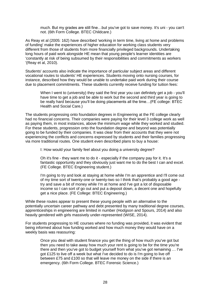much. But my grades are still fine…but you've got to save money. It's uni - you can't not. (6th Form College. BTEC Childcare.)

As Reay et al (2005: 162) have described 'working in term time, living at home and problems of funding' make the experiences of higher education for working class students very different from those of students from more financially privileged backgrounds. Undertaking long hours of paid work alongside HE mean that young people's learner identities are 'constantly at risk of being subsumed by their responsibilities and commitments as workers '(Reay et al, 2010).

Students' accounts also indicate the importance of particular subject areas and different vocational routes to students' HE experiences. Students moving onto nursing courses, for instance, described how they would be unable to undertake paid work during their course due to placement commitments. These students currently receive funding for tuition fees:

When I went to (university) they said the first year you can definitely get a job - you'll have time to get a job and be able to work but the second and third year is going to be really hard because you'll be doing placements all the time…(FE college: BTEC Health and Social Care.)

The students progressing onto foundation degrees in Engineering at the FE college clearly had no financial concerns. Their companies were paying for their level 3 college work as well as paying them, in most instances, above the minimum wage while they worked and studied. For these students, progression onto the foundation degree and beyond was potentially going to be funded by their companies. It was clear from their accounts that they were not experiencing the conflicts and concerns expressed by students and their families progressing via more traditional routes. One student even described plans to buy a house:

I: How would your family feel about you doing a university degree?

Oh it's fine - they want me to do it - especially if the company pay for it. It's a fantastic opportunity and they obviously just want me to do the best I can and excel. (FE College. BTEC Engineering student.)

I'm going to try and look at staying at home while I'm an apprentice and I'll come out of my time sort of twenty-one or twenty-two so I think that's probably a good age try and save a bit of money while I'm at home and I've got a lot of disposable income so I can sort of go out and put a deposit down, a decent one and hopefully get a nice place. (FE College: BTEC Engineering.)

While these routes appear to present these young people with an alternative to the potentially uncertain career pathway and debt presented by many traditional degree courses, apprenticeships in engineering are limited in number (Hodgson and Spours, 2014) and also heavily gendered with girls massively under-represented (WISE, 2014).

For students progressing to HE courses where no funding was provided, it was evident that being informed about how funding worked and how much money they would have on a weekly basis was reassuring:

Once you deal with student finance you get the thing of how much you've got but then you need to take away how much your rent is going to be for the time you're there and then you've got to budget yourself from what you've got remaining … I've got £125 to live off a week but what I've decided to do is I'm going to live off between £75 and £100 so that will leave me money on the side if there is an emergency. (6th Form College. BTEC Forensic Science.)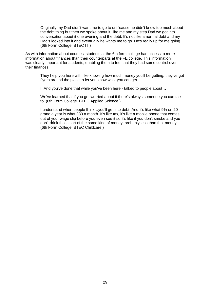Originally my Dad didn't want me to go to uni 'cause he didn't know too much about the debt thing but then we spoke about it, like me and my step Dad we got into conversation about it one evening and the debt. It's not like a normal debt and my Dad's looked into it and eventually he wants me to go. He's really up for me going. (6th Form College. BTEC IT.)

As with information about courses, students at the 6th form college had access to more information about finances than their counterparts at the FE college. This information was clearly important for students, enabling them to feel that they had some control over their finances:

They help you here with like knowing how much money you'll be getting, they've got flyers around the place to let you know what you can get.

I: And you've done that while you've been here - talked to people about…

We've learned that if you get worried about it there's always someone you can talk to. (6th Form College. BTEC Applied Science.)

I understand when people think…you'll get into debt. And it's like what 9% on 20 grand a year is what £30 a month. It's like tax, it's like a mobile phone that comes out of your wage slip before you even see it so it's like if you don't smoke and you don't drink that's sort of the same kind of money, probably less than that money. (6th Form College. BTEC Childcare.)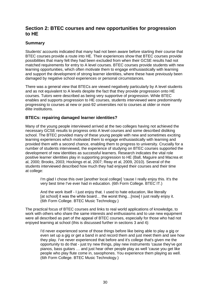## <span id="page-32-0"></span>**Section 2: BTEC courses and new opportunities for progression to HE**

## **Summary**

Students' accounts indicated that many had not been aware before starting their course that BTEC courses provide a route into HE. Their experiences show that BTEC courses provide possibilities that many felt they had been excluded from when their GCSE results had not matched requirements for entry to A level courses. BTEC courses provide students with new learning opportunities, which often motivate them to engage enthusiastically with learning and support the development of strong learner identities, where these have previously been damaged by negative school experiences or personal circumstances.

There was a general view that BTECs are viewed negatively particularly by A level students and as not equivalent to A levels despite the fact that they provide progression onto HE courses. Tutors were described as being very supportive of progression. While BTEC enables and supports progression to HE courses, students interviewed were predominantly progressing to courses at new or post-92 universities not to courses at older or more élite institutions.

## **BTECs: repairing damaged learner identities?**

Many of the young people interviewed arrived at the two colleges having not achieved the necessary GCSE results to progress onto A level courses and some described disliking school. The BTEC provided many of these young people with new and sometimes exciting learning experiences which motivated them to engage enthusiastically with learning and provided them with a second chance, enabling them to progress to university. Crucially for a number of students interviewed, the experience of studying on BTEC courses supported the development of new identities as successful learners. Research indicates the vital role positive learner identities play in supporting progression to HE (Ball, Maguire and Macrea et al, 2000; Brooks, 2003; Hockings et al, 2007; Reay et al, 2009, 2010). Several of the students interviewed described how much they had enjoyed their courses and their time at college:

I'm glad I chose this over [another local college] 'cause I really enjoy this. It's the very best time I've ever had in education. (6th Form College. BTEC IT.)

And the work itself - I just enjoy that. I used to hate education, like literally [at school] it was the white board... the worst thing...[now] I just really enjoy it. (6th Form College. BTEC Music Technology.)

The practical focus of BTEC courses and links to real world applications of knowledge, to work with others who share the same interests and enthusiasms and to use new equipment were all described as part of the appeal of BTEC courses, especially for those who had not enjoyed learning at school (this is discussed further in sections 3 and 4):

I'd never experienced some of those things before like being able to play a gig or even set up a gig or get a band in and record them and just meet them and see how they play. I've never experienced that before and it's college that's given me the opportunity to do that - just try new things, play new instruments 'cause they've got pianos, bass guitars … and just hear other people play as well 'cause you get like people who play flute come in, saxophones. You experience them playing as well. (6th Form College. BTEC Music Technology.)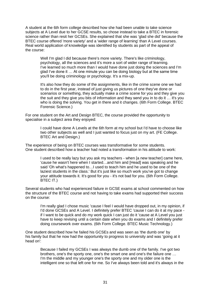A student at the 6th form college described how she had been unable to take science subjects at A Level due to her GCSE results, so chose instead to take a BTEC in forensic science rather than resit her GCSEs. She explained that she was 'glad she did' because the BTEC course offered 'more variety' and a 'wider range of learning' than A Level courses. Real world application of knowledge was identified by students as part of the appeal of the course:

Well I'm glad I did because there's more variety. There's like criminology, psychology, all the sciences and it's more a sort of wider range of learning. I've learned so much more than I would have done just doing the sciences and I'm glad I've done it … At one minute you can be doing biology but at the same time you'll be doing criminology or psychology. It's a mix-up.

It's also how they do some of the assignments, like in the crime scene one we had to do in the first year, instead of just giving us pictures of one they've done or scenarios or something, they actually make a crime scene for you and they give you the suit and they give you bits of information and they send you in to do it … it's you who is doing the solving. You get in there and it changes. (6th Form College. BTEC Forensic Science.)

For one student on the Art and Design BTEC, the course provided the opportunity to specialise in a subject area they enjoyed:

> I could have done A Levels at the 6th form at my school but I'd have to choose like two other subjects as well and I just wanted to focus just on my art. (FE College. BTEC Art and Design.)

The experience of being on BTEC courses was transformative for some students. One student described how a teacher had noted a transformation in his attitude to work:

I used to be really lazy but you ask my teachers - when [a new teacher] came here, 'cause he wasn't here when I started…and him and [Head] was speaking and he said 'Oh what's happened to…I used to teach him and he used to be one of the laziest students in the class.' But it's just like so much work you've got to change your attitude towards it. It's good for you - it's not bad for you. (6th Form College. BTEC IT.)

Several students who had experienced failure in GCSE exams at school commented on how the structure of the BTEC course and not having to take exams had supported their success on the course:

I'm really glad I chose music 'cause I feel I would have dropped out, in my opinion, if I'd done GCSEs and A Level. I definitely prefer BTEC 'cause I can do it at my pace if I want to be quick and do my work quick I can just do it 'cause at A Level you just have to keep revising until a certain date when you do exams and I definitely prefer doing coursework over exams. (6th Form College. BTEC Music Technology.)

One student described how he failed his GCSEs and was seen as 'the dumb one' by his family but that he now had the opportunity to progress to university and was 'going at it head on':

Because I failed my GCSEs I was always the dumb one of the family. I've got two brothers, one's the sporty one, one's the smart one and one's the failure one … I'm the middle and my younger one's the sporty one and my older one is the intelligent one so that left one for me. So I've always been told and it's always in the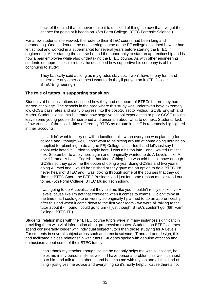back of the mind that I'd never make it to uni, kind of thing, so now that I've got the chance I'm going at it heads on. (6th Form College. BTEC Forensic Science.)

For a few students interviewed, the route to their BTEC course had been long and meandering. One student on the engineering course at the FE college described how he had left school and worked in a supermarket for several years before starting the BTEC in engineering. After starting the course he had the opportunity to start an apprenticeship and is now a paid employee while also undertaking the BTEC course. As with other engineering students on apprenticeship routes, he described how supportive his company is of his continuing to study:

They basically said as long as my grades stay up…I won't have to pay for it and if there are any other courses I want to do they'll put you on it. (FE College. BTEC Engineering.)

#### **The role of tutors in supporting transition**

Students at both institutions described how they had not heard of BTECs before they had started at college. The schools in the area where this study was undertaken have extremely low GCSE pass rates and many progress into the post-16 sector without GCSE English and Maths. Students' accounts illustrated how negative school experiences or poor GCSE results leave some young people disheartened and uncertain about what to do next. Students' lack of awareness of the possibilities offered by BTEC as a route into HE is repeatedly highlighted in their accounts:

I just didn't want to carry on with education but…when everyone was planning for college and I thought well, I don't want to be sitting around at home doing nothing so I applied for plumbing to do at [the FE] College…I started it and let's just say I absolutely hated it…I tried to apply here. I was a bit too late…and I waited until the next September to apply here again and I originally wanted to do A Levels - like A Level Drama, A Level English - that kind of thing but I was told I didn't have enough GCSEs so they gave me the option of doing a year doing GCSEs and two years doing A Level and I would be finished or they gave me an option to do a BTEC. I'd never heard of BTEC and I was looking through some of the courses that they do like the BTEC Sport, the BTEC Business and just for some reason music stood out to me. (6th Form College. BTEC Music Technology.)

I was going to do A Levels…but they told me like you shouldn't really do like five A Levels 'cause like I'm not that confident when it comes to exams…I didn't think at the time that I could go to university so originally I planned to do an apprenticeship after this and when it came down to the first year room - we were all talking to the tutor about it - I found I could go to uni - I just thought BTECs couldn't go. (6th Form College. BTEC IT.)

Students' relationships with their BTEC course tutors were in many instances significant in providing them with vital information about progression routes. Students on BTEC courses spend considerably longer with individual subject tutors than those studying for A Levels. For students in several subject areas such as forensic science, IT and art and design, this had facilitated a close relationship with tutors. Students spoke with genuine affection and enthusiasm about some of their BTEC tutors:

I can't thank my teacher enough 'cause he not only helps me with all college, he helps me in my personal life as well. If I have personal problems as well I can just go to him and talk to him about it and he helps me with my job and all that kind of thing - just gives me advice and everything so it's really helpful 'cause there's not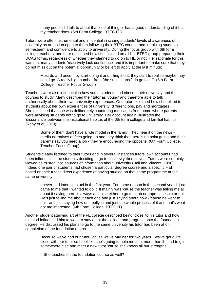many people I'd talk to about that kind of thing or has a good understanding of it but my teacher does. (6th Form College. BTEC IT.)

Tutors were often instrumental and influential in raising students' levels of awareness of university as an option open to them following their BTEC course, and in raising students' self-esteem and confidence to apply to university. During the focus group with 6th form college teachers, one tutor described how she insisted on all her BTEC group preparing their UCAS forms, regardless of whether they planned to go on to HE or not. Her rationale for this was that many students 'massively lack confidence' and it is important to make sure that they do not miss out on the potential opportunity or be left to apply at the last minute:

Most do and once they start doing it and filling it out, they start to realise maybe they could go. A really high number from [the subject area] do go to HE. (6th Form College. Teacher Focus Group.)

Teachers were also influential in how some students had chosen their university and the courses to study. Many described their tutor as 'young' and therefore able to talk authentically about their own university experiences. One tutor explained how she talked to students about her own experiences of university, different jobs, pay and mortgages. She explained that she was deliberately countering messages from home where parents were advising students not to go to university. Her account again illustrates the 'dissonance' between the institutional habitus of the 6th form college and familial habitus (Reay et al, 2010):

Some of them don't have a role model in the family. They hear it on the news media narratives of fees going up and they think that there's no point going and their parents say you need a job - they're encouraging the opposite. (6th Form College. Teacher Focus Group)

Students clearly listened to their tutors and in several instances tutors' own accounts had been influential in the students deciding to go to university themselves. Tutors were certainly viewed as trusted 'hot' sources of information about university (Ball and Vincent, 1998). Indeed one pair of students had chosen a particular degree course and a specific HEI based on their tutor's direct experience of having studied on that same programme at the same university:

I never had interest in uni in the first year. For some reason in the second year it just came to me that I wanted to do it. It mainly was 'cause the teacher was telling me all about it saying there is always a choice either to go to a job or apprenticeship or uni. He's just telling me about each one and just saying about how - 'cause he went to uni - and just saying how uni really is and just the whole process of it and that's what got me interested. (6th Form College. BTEC IT)

Another student studying art at the FE college described being 'close' to his tutor and how this had influenced him to want to stay on at the college and progress onto the foundation degree. He discussed his plans to go to the same university his tutor had been at on completion of the foundation degree:

Because we've had our tutor, 'cause we've had her for two years…we've got quite close with our tutor so I feel like she's going to help me a lot more than if I had to go somewhere else and meet a new tutor 'cause she knows all our strengths.

I: She teaches on the foundation course as well?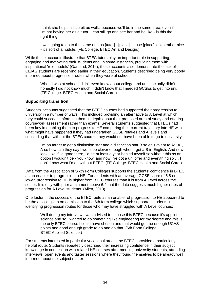I think she helps a little bit as well…because we'll be in the same area, even if I'm not having her as a tutor, I can still go and see her and be like - is this the right thing.

I was going to go to the same one as [tutor] - [place] 'cause [place] looks rather nice - it's sort of a huddle. (FE College. BTEC Art and Design.)

While these accounts illustrate that BTEC tutors play an important role in supporting, engaging and motivating their students and, in some instances, providing them with inspirational 'role models' (Gartland, 2014), these accounts also demonstrate the lack of CEIAG students are receiving earlier in their education. Students described being very poorly informed about progression routes when they were at school:

When I was at school I didn't even know about college and uni. I actually didn't honestly I did not know much. I didn't know that I needed GCSEs to get into uni. (FE College. BTEC Health and Social Care.)

#### **Supporting transition**

Students' accounts suggested that the BTEC courses had supported their progression to university in a number of ways. This included providing an alternative to A Level at which they could succeed, informing them in depth about their proposed area of study and offering coursework assessment rather than exams. Several students suggested that BTECs had been key in enabling them to progress to HE comparing their current trajectory into HE with what might have happened if they had undertaken GCSE retakes and A levels and concluding that without the BTEC course, they would not have been able to go to university:

I'm on target to get a distinction star and a distinction star B so equivalent to  $A^*$ ,  $A^*$ , A so how can they say I won't be clever enough when I got a B in English. And now look, like if I'd gone there, I'd be at least a year behind myself so without this as an option I wouldn't be - you know, and now I've got a uni offer and everything so … I don't know what I'd do without BTEC. (FE College. BTEC Health and Social Care.)

Data from the Association of Sixth Form Colleges supports the students' confidence in BTEC as an enabler to progression to HE. For students with an average GCSE score of 5.8 or lower, progression to HE is higher from BTEC courses than it is from A Level across the sector. It is only with prior attainment above 6.4 that the data suggests much higher rates of progression for A Level students. (Allen, 2013).

One factor in the success of the BTEC route as an enabler of progression to HE appeared to be the advice given on admission to the 6th form college which supported students in identifying progression routes for those who may have struggled with A Level courses:

Well during my interview I was advised to choose this BTEC because it's applied science and so I wanted to do something like engineering for my degree and this is the only BTEC course I could have chosen and that would get me enough UCAS points and good enough grade to go and do that. (6th Form College. BTEC Applied Science.)

For students interested in particular vocational areas, the BTECs provided a particularly helpful route. Students repeatedly described their increasing confidence in their subject knowledge in connection with related HE courses after meeting university students, attending interviews, open events and taster sessions where they found themselves to be already well informed about the subject matter: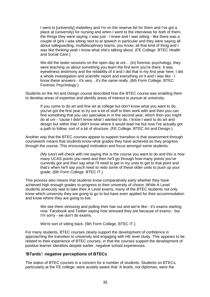I went to [university] midwifery and I'm on the reserve list for them and I've got a place at (university) for nursing and when I went to the interviews for both of them, the things they were saying, I was just - I knew and I was sitting - like there was a couple of girls I was sitting next to at Ipswich in particular and they were saying all about safeguarding, multidisciplinary teams, you know, all that kind of thing and I was like thinking yeah I know what she's talking about. (FE College. BTEC Health and Social Care.)

We did the taster sessions on the open day at uni... (in) forensic psychology, they were teaching us about something you learn the first term you're there. It was eyewitness testimony and the reliability of it and I did that in my first year here. I did a whole investigation and scientific report and everything on it and I was like - I know these answers - it's very…it's the same really. (6th Form College. BTEC Forensic Psychology.)

Students on the Art and Design course described how the BTEC course was enabling them to develop areas of expertise and identify areas of interest to pursue at university:

If you come to do art and fine art at college but don't know what you want to do, you've got the first year to try out a lot of stuff to then work with and then you can find something that you can specialise in in the second year, which then you might do at uni - 'cause I didn't know what I wanted to do. I know I want to do art and design but within that I didn't know where it would lead me but now I've actually got a path to follow; sort of a bit of structure. (FE College. BTEC Art and Design.)

Another way that the BTEC courses appear to support transition is that assessment through coursework means that students know what grades they have achieved as they progress through the course. This encouraged motivation and focus amongst some students:

(My tutor) will check with me saying this is the course you want to do and this is how many UCAS points you need and then he'll go through how many points you've currently got and then say what I'll need to get in my units to get to that point and that's when he'll say you'll need to redo some of these older units to push up your grade. (6th Form College. BTEC IT.)

This process also means that students know comparatively early whether they have achieved high enough grades to progress to their university of choice. While A Level students anxiously wait to take their A Level exams, many of the BTEC students not only know which university they are going to go to but have even applied for their accommodation and know where they are going to live:

We see them stressing and pulling their hair out and we're like - it's exams starting now. Facebook and Twitter saying how stressed they are because of exams - but I'm sorry - we don't do exams.

We're sort of sitting back. (6th Form College. BTEC IT.)

For many students, BTEC courses clearly support the development of confidence in approaching the transition to university and engaging with HE level study. This appears to be related to their experience of BTEC courses, in that the courses support the development of positive learner identities despite earlier, negative school experiences.

#### **'BTards': negative perceptions of BTECs**

The status of BTEC courses is a concern for a number of students. Students on BTECs, particularly at the FE college, were acutely aware that 'A levels, not diplomas, were the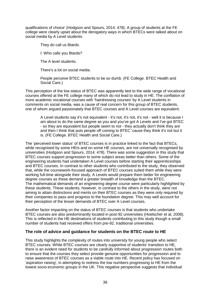qualifications of choice' (Hodgson and Spours, 2014: 478). A group of students at the FE college were clearly upset about the derogatory ways in which BTECs were talked about on social media by A Level students:

They do call us Btards.

I: Who calls you Btards?

The A level students.

There's a lot on social media.

People perceive BTEC students to be so dumb. (FE College. BTEC Health and Social Care.)

This perception of the low status of BTEC was apparently tied to the wide range of vocational courses offered at the FE college many of which do not lead to study in HE. The conflation of more academic vocational courses with 'hairdressing courses' by A Level students in comments on social media, was a cause of real concern for this group of BTEC students, one of whom argued passionately that BTEC courses and A Level courses are equivalent:

A Level students say it's not equivalent - it's not, it's not, it's not - well it is because I am about to do the same degree as you and you've got A Levels and I've got BTEC - so they are equivalent but people seem to not - they actually don't think they are and then I think that puts people off coming to BTEC 'cause they think it's not but it is. (FE College. BTEC Health and Social Care.)

The 'perceived lower status' of BTEC courses is in practice linked to the fact that BTECs, while recognised by some HEIs and on some HE courses, are not universally recognised by universities (Hodgson and Spours, 2014: 478). There was some suggestion in this study that BTEC courses support progression to some subject areas better than others. Some of the engineering students had undertaken A Level courses before starting their apprenticeships and BTEC courses. In contrast to other students who contributed to the study, they observed that, while the coursework-focused approach of BTEC courses suited them while they were working full-time alongside their study, A Levels would prepare them better for engineering degree courses as these demand a greater breadth of knowledge than the BTEC. The mathematical demands of an engineering degree course were particularly highlighted by these students. These students, however, in contrast to the others in the study, were not aiming to attain distinctions and merits on their BTEC courses as they were only required by their companies to pass and progress to the foundation degree. This may well account for their perception of the lesser demands of BTEC over A Level courses.

Another factor impacting on the status of BTEC courses is that students who undertake BTEC courses are also predominantly located in post-92 universities (Hoelscher et al, 2008). This is reflected in the HE destinations of students contributing to this study though a small number of students had received offers from pre-92, traditional universities.

### **The role of advice and guidance for students on the BTEC route to HE**

This study highlights the complexity of routes into university for young people who select BTEC courses. While BTEC courses are clearly supportive of students' transition to HE, there is an evident need for students to be carefully informed about progression routes both to ensure that the courses they select provide genuine opportunities for progression and to raise awareness of BTEC courses as a viable route into HE. Recent policy has focused on 'aspiration raising', in attempting to redress the low numbers progressing to HE from the lowest socio-economic groups in the UK. This negative perspective suggests that individual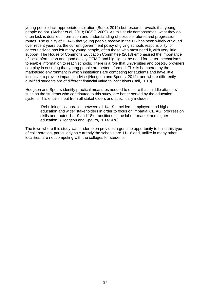young people lack appropriate aspiration (Burke; 2012) but research reveals that young people do not. (Archer et al, 2013; DCSF, 2009). As this study demonstrates, what they do often lack is detailed information and understanding of possible futures and progression routes. The quality of CEIAG that young people receive in the UK has been widely critiqued over recent years but the current government policy of giving schools responsibility for careers advice has left many young people, often those who most need it, with very little support. The House of Commons Education Committee (2013) emphasised the importance of local information and good quality CEIAG and highlights the need for better mechanisms to enable information to reach schools. There is a role that universities and post-16 providers can play in ensuring that young people are better informed. This is hampered by the marketised environment in which institutions are competing for students and have little incentive to provide impartial advice (Hodgson and Spours, 2014), and where differently qualified students are of different financial value to institutions (Ball, 2010).

Hodgson and Spours identify practical measures needed to ensure that 'middle attainers' such as the students who contributed to this study, are better served by the education system. This entails input from all stakeholders and specifically includes:

'Rebuilding collaboration between all 14-19 providers, employers and higher education and wider stakeholders in order to focus on impartial CEIAG; progression skills and routes 14-19 and 18+ transitions to the labour market and higher education.' (Hodgson and Spours, 2014: 478)

The town where this study was undertaken provides a genuine opportunity to build this type of collaboration, particularly as currently the schools are 11-16 and, unlike in many other localities, are not competing with the colleges for students.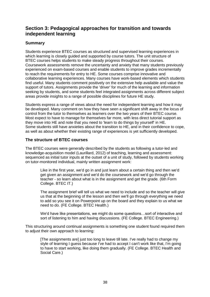## <span id="page-40-0"></span>**Section 3: Pedagogical approaches for transition and towards independent learning**

## **Summary**

Students experience BTEC courses as structured and supervised learning experiences in which learning is closely guided and supported by course tutors. The unit structure of BTEC courses helps students to make steady progress throughout their courses. Coursework assessments remove the uncertainty and anxiety that many students previously experienced on exam-based courses and enable students to improve grades incrementally to reach the requirements for entry to HE. Some courses comprise innovative and collaborative learning experiences. Many courses have work-based elements which students find useful. Many students comment positively on the extensive help available and value the support of tutors. Assignments provide the 'driver' for much of the learning and information seeking by students, and some students feel integrated assignments across different subject areas provide insights to a range of possible disciplines for future HE study.

Students express a range of views about the need for independent learning and how it may be developed. Many comment on how they have seen a significant shift away in the locus of control from the tutor to themselves as learners over the two years of their BTEC course. Most expect to have to manage for themselves far more, with less direct tutorial support as they move into HE and note that you need to 'learn to do things by yourself' in HE. Some students still have anxieties about the transition to HE, and in their confidence to cope, as well as about whether their existing range of experiences is yet sufficiently developed.

### **The structure of BTEC courses**

The BTEC courses were generally described by the students as following a tutor-led and knowledge-acquisition model (Laurillard, 2012) of teaching, learning and assessment: sequenced as initial tutor inputs at the outset of a unit of study, followed by students working on tutor-monitored individual, mainly written assignment work:

Like in the first year, we'd go in and just learn about a certain thing and then we'd get given an assignment and we'd do the coursework and we'd go through the teacher - so learn about what is in the assignment and get the grade*.* (6th Form College. BTEC IT.)

The assignment brief will tell us what we need to include and so the teacher will give us that at the beginning of the lesson and then we'll go through everything we need to add so you see it on Powerpoint up on the board and they explain to us what we need to do. (FE College. BTEC Health.)

We'd have like presentations, we might do some questions…sort of interactive and sort of listening to him and having discussions. (FE College. BTEC Engineering.)

This structuring around continual assignments is something one student found required them to adjust their own approach to learning:

[The assignments are] just too long to leave till late. I've really had to change my style of learning I guess because I've had to accept I can't work like that, I'm going to have to start working, like doing them gradually. (FE College. BTEC Health and Social Care.)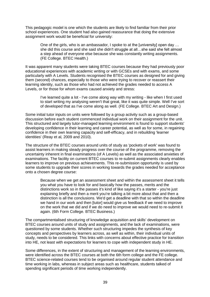This pedagogic model is one which the students are likely to find familiar from their prior school experiences. One student had also gained reassurance that doing the extensive assignment work would be beneficial for university:

One of the girls, who is an ambassador, I spoke to at the [university] open day … she did this course and she said she didn't struggle at all...she said she felt almost a step ahead of everyone else because she was constantly writing assignments. (FE College. BTEC Health.)

It was apparent many students were taking BTEC courses because they had previously poor educational experiences with academic writing or with GCSEs and with exams, and some particularly with A Levels. Students recognised the BTEC courses as designed for and giving them (second) chances, especially to those who were trying to recover or reassert their learning identity, such as those who had not achieved the grades needed to access A Levels, or for those for whom exams caused anxiety and stress:

I've learned quite a lot - I've come along way with my writing - like when I first used to start writing my analysing weren't that great, like it was quite simple. Well I've sort of developed that as I've come along as well. (FE College. BTEC Art and Design.)

Some initial tutor inputs on units were followed by a group activity such as a group-based discussion before each student commenced individual work on their assignment for the unit. This structured and largely tutor-managed learning environment is found to support students' developing confidence in their learning and career potential, as well as for some, in regaining confidence in their own learning capacity and self-efficacy, and in rebuilding 'learner identities' (Reay et al*,* 2009 and 2010).

The structure of the BTEC courses around units of study as 'pockets of work' was found to assist learners in making steady progress over the course of the programme, removing the uncertainty inherent in final examinations (of A Levels) as well as the associated anxieties of examinations. The facility on current BTEC courses to re-submit assignments clearly enables learners to improve on previous achievements. This re-submission opportunity is used by some students to upgrade their scores in working towards the grades needed for acceptance onto a chosen degree course:

Because when we get an assessment sheet and within the assessment sheet it tells you what you have to look for and basically how the passes, merits and the distinctions work so in the passes it's kind of like saying it's a starter - you're just explaining briefly and then a merit you're talking a bit more about that and then a distinction is all the conclusions. We'd get a deadline with that so within the deadline we hand in our work and then [tutor] would give us feedback if we need to improve on the work that we did and if we do need to improve we would need to re-submit it again. (6th Form College. BTEC Business.)

The compartmentalised structuring of knowledge acquisition and skills' development on BTEC courses around units of study and assignments, and the lack of examinations, were questioned by some students. Whether such structuring impedes the synthesis of key concepts and perspectives by learners across, as well as within, their individual units of study, needs to be considered. This links with concerns about effective practice for transition into HE, not least with expectations for learners to cope with independent study in HE.

Some differences, in the extent of structuring and management of the learning environments, were identified across the BTEC courses at both the 6th form college and the FE college. BTEC science-related courses tend to be organised around regular student attendance and time working in labs, whereas in subject areas such as healthcare, students talked of spending significant periods of time working independently.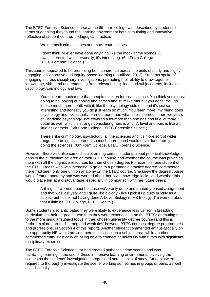The BTEC Forensic Science course at the 6th form college was described by students in terms suggesting they found the learning environment both stimulating and innovative, reflective of student-centred pedagogical practice.

We do mock crime scenes and mock court scenes.

I don't think I'd ever have done anything like the mock crime scenes … I was interested well personally, it's interesting. (6th Form College. BTEC Forensic Science.)

This course appeared to be promoting both coherence across the units of study and highly engaging, collaborative and inquiry-based learning (Laurillard, 2012). Students spoke of engaging in cross-disciplinary investigations, promoting their ability to draw together knowledge, skills and understanding from relevant disciplines and subject areas, including psychology, criminology and law:

You do learn much more than people think on forensic science. You think you're just going to be looking at bodies and crimes and stuff like that but you don't. You go into so much more depth with it, like the psychology side of it and it's just so interesting and honestly you do just learn so much. You learn more, my friend does psychology and I've actually learned more than what she's learned in her two years of just doing psychology. I've covered a lot more than she has and in a lot more detail as well, which is strange considering hers is a full A level and ours is like a little assignment. (6th Form College. BTEC Forensic Science.)

There's like criminology, psychology, all the sciences and it's more sort of wider range of learning. I've learned so much more than I would have done from just doing the sciences. (6th Form College, BTEC Forensic Science.)

However, there was also some disquiet among certain students about potential knowledge gaps in the curriculum covered on their BTEC course and whether the course was providing them with all the cognitive resources for their chosen degree. For example, one student on the BTEC Health who was intending to go on to a paramedic practice degree, commented there had been only one unit on anatomy on the BTEC course. She knew the degree course would feature anatomy and was worried about her own knowledge lacks, and whether this would place her at a disadvantage, especially in comparison with her future peers:

A thing I'm worried about because we've only done one anatomy-based assignment and that was last year and I quite like biology - like I pick it up quite quickly as a subject but I think not having done A Level Biology or AS Biology, I'm worried about that a little bit. (FE College, BTEC Health.)

Some students also anticipated they were likely to experience less variety in breadth of curriculum on their degree course than they were experiencing on the BTEC: attributing this to the more singular subject focus in their chosen university degree course (and this is further explored around 'strong and weak ties' between BTEC courses, degree programmes and professions, in Section 4 of this report). Another student commented enthusiastically on the opportunity HE would provide them to 'focus in' on a subject area, while another commented enthusiastically on being able to connect at university with tutors with significant disciplinary expertise.

The BTEC Forensic Science tutor had created authentic crime scenes and was facilitating learning in the use of these immersive learning environments, evolving the scenes as the students' investigations progressed across units of study. Students were required to thoroughly investigate the scene, working sometimes in groups or pairs, as well as individually: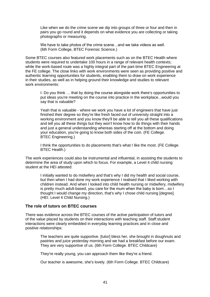Like when we do the crime scene we dip into groups of three or four and then in pairs you go round and it depends on what evidence you are collecting or taking photographs or measuring.

We have to take photos of the crime scene…and we take videos as well. (6th Form College, BTEC Forensic Science.)

Some BTEC courses also featured work placements such as on the BTEC Health where students were required to undertake 100 hours in a range of relevant health contexts; while the work-based route was a highly integral part of the part-time BTEC Engineering at the FE college. The close links with work environments were seen as providing positive and authentic learning opportunities for students, enabling them to draw on work experience in their studies, as well as in helping ground their knowledge and studies to relevant work environments:

I: Do you think … that by doing the course alongside work there's opportunities to put ideas you're meeting on the course into practice in the workplace...would you say that is valuable?

Yeah that is valuable - where we work you have a lot of engineers that have just finished their degree so they're like fresh faced out of university straight into a working environment and you know they'll be able to tell you all these qualifications and tell you all these things but they won't know how to do things with their hands and just a general understanding whereas starting off at the bottom and doing your education, you're going to know both sides of the coin. (FE College. BTEC Engineering.)

I think the opportunities to do placements that's what I like the most. (FE College. BTEC Health.)

The work experiences could also be instrumental and influential, in assisting the students to determine the area of study upon which to focus. For example, a Level 4 child nursing student at the HEI attested:

I initially wanted to do midwifery and that's why I did my health and social course, but then when I had done my work experience I realised that I liked working with children instead. And when I looked into child health nursing or midwifery, midwifery is pretty much adult-based, you care for the mum when the baby is born…so I thought I would change my direction, that's why I chose child nursing [degree]. (HEI. Level 4 Child Nursing.)

#### **The role of tutors on BTEC courses**

There was evidence across the BTEC courses of the active participation of tutors and of the value placed by students on their interactions with teaching staff. Staff:student interactions were clearly embedded in everyday learning practices and in close and positive relationships:

> The teachers are quite supportive. [tutor] bless her, she brought in doughnuts and pastries and juice yesterday morning and we had a breakfast before our exam. They are very supportive of us. (6th Form College. BTEC Childcare)

They're really young, you can approach them like they're a friend.

Our teacher is awesome, she's lovely. (6th Form College. BTEC Childcare)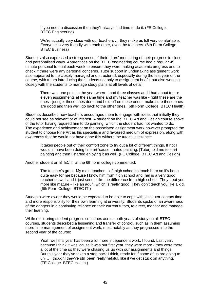If you need a discussion then they'll always find time to do it. (FE College. BTEC Engineering)

We're actually very close with our teachers ... they make us fell very comfortable. Everyone is very friendly with each other, even the teachers. (6th Form College. BTEC Business)

Students also expressed a strong sense of their tutors' monitoring of their progress in close and personalised ways. Apprentices on the BTEC engineering course had a regular 45 minute personal tutorial each week to ensure they were making academic progress and to check if there were any personal concerns. Tutor support in undertaking assignment work also appeared to be closely managed and structured, especially during the first year of the course, with tutors introducing the students not only to assignment briefs, but also working closely with the students to manage study plans at all levels of detail:

There was one point in the year where I had three classes and I had about ten or eleven assignments at the same time and my teacher was like - right these are the ones - just get these ones done and hold off on these ones - make sure these ones are good and then we'll go back to the other ones. (6th Form College. BTEC Health)

Students described how teachers encouraged them to engage with ideas that initially they could not see as relevant or of interest. A student on the BTEC Art and Design course spoke of the tutor having required him to do painting, which the student had not wanted to do. The experience and achievement on the associated assignment work however prompted the student to choose Fine Art as his specialism and favoured medium of expression, along with awareness that he would not have done this without the tutor's insistence:

It takes people out of their comfort zone to try out a lot of different things. If not I wouldn't have been doing fine art 'cause I hated painting. [Tutor] told me to start painting and then I started enjoying it as well. (FE College. BTEC Art and Design)

Another student on BTEC IT at the 6th form college commented:

The teacher's great. My main teacher…left high school to teach here so it's been quite easy for me because I know him from high school and [he] is a very good teacher as well and it just seems like the difference from high school. They treat you more like mature - like an adult, which is really good. They don't teach you like a kid. (6th Form College. BTEC IT.)

Students were aware they would be expected to be able to cope with less tutor contact time and more responsibility for their own learning at university. Students spoke of an awareness of the dangers in a continuing reliance on their current tutors, to direct, monitor and manage their learning.

While monitoring student progress continues across both years of study on all BTEC courses, students described a lessening and transfer of control, such as in them assuming more time-management of assignment work, most notably as they progressed into the second year of the course:

Yeah well this year has been a lot more independent work, I found. Last year, because I think it was 'cause it was our first year, they were more - they were there a lot of the time so they were chasing us up with our assignments and things. But this year they've taken a step back I think, ready for if some of us are going to uni … [though] they've still been really helpful, like if we get stuck on anything. (FE College. BTEC Health.)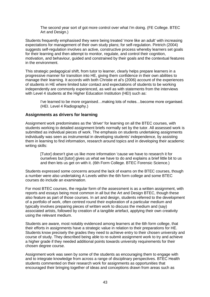The second year sort of got more control over what I'm doing. (FE College. BTEC Art and Design.)

Students frequently emphasised they were being treated 'more like an adult' with increasing expectations for management of their own study plans; for self-regulation. Pintrich (2004) suggests self-regulation involves an active, constructive process whereby learners set goals for their learning and then attempt to monitor, regulate, and control their cognition, motivation, and behaviour, guided and constrained by their goals and the contextual features in the environment.

This strategic pedagogical shift, from tutor to learner, clearly helps prepare learners in a progressive manner for transition into HE, giving them confidence in their own abilities to manage their learning. It accords with both Christie et al's (2006) account of the experiences of students in HE where limited tutor contact and expectations of students to be working independently are commonly experienced, as well as with statements from the interviews with Level 4 students at the Higher Education Institution (HEI) such as:

I've learned to be more organised…making lots of notes…become more organised. (HEI. Level 4 Radiography.)

#### **Assignments as drivers for learning**

Assignment work predominates as the 'driver' for learning on all the BTEC courses, with students working to detailed assignment briefs normally set by the tutor. All assessed work is submitted as individual pieces of work. The emphasis on students undertaking assignments individually was seen as instrumental in developing students' independence, by assisting them in learning to find information, research around topics and in developing their academic writing skills:

[Tutor] doesn't give us like more information 'cause we have to research it for ourselves but [tutor] gives us what we have to do and explains a brief little bit to us and then lets us get on with it. (6th Form College. BTEC Forensic Science.)

Students expressed some concerns around the lack of exams on the BTEC courses, though a number were also undertaking A Levels within the 6th form college and some BTEC courses do include an examination.

For most BTEC courses, the regular form of the assessment is as a written assignment, with reports and essays being most common in all but the Art and Design BTEC, though these also feature as part of those courses. In art and design, students referred to the development of a portfolio of work, often centred round their exploration of a particular medium and typically involves preparing pieces of written work to discuss the medium and (say) associated artists, followed by creation of a tangible artefact, applying their own creativity using the relevant medium.

Students are aware, most notably evidenced among learners at the 6th form college, that their efforts in assignments have a strategic value in relation to their preparations for HE. Students know precisely the grades they need to achieve entry to their chosen university and course of study. They described being able to re-submit assignment work to try and achieve a higher grade if they needed additional points towards university requirements for their chosen degree course.

Assignment work was seen by some of the students as encouraging them to engage with and to integrate knowledge from across a range of disciplinary perspectives. BTEC Health students commented on their research work for assignments as opportunities that encouraged their bringing together of ideas and conceptions drawn from areas such as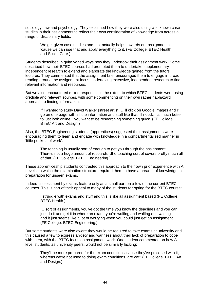sociology, law and psychology. They explained how they were also using well known case studies in their assignments to reflect their own consideration of knowledge from across a range of disciplinary fields.

We get given case studies and that actually helps towards our assignments 'cause we can use that and apply everything to it. (FE College. BTEC Health and Social Care.)

Students described in quite varied ways how they undertook their assignment work. Some described how their BTEC courses had promoted them to undertake supplementary independent research to extend and elaborate the knowledge gained from the tutors' lectures. They commented that the assignment brief encouraged them to engage in broad reading around the assignment focus, undertaking extensive, independent research to find relevant information and resources.

But we also encountered mixed responses in the extent to which BTEC students were using credible and relevant sources, with some commenting on their own rather haphazard approach to finding information:

If I wanted to study David Walker [street artist]…I'll click on Google images and I'll go on one page with all the information and stuff like that I'll need…it's much better to just look online…you want to be researching something quick. (FE College. BTEC Art and Design.)

Also, the BTEC Engineering students (apprentices) suggested their assignments were encouraging them to learn and engage with knowledge in a compartmentalised manner in 'little pockets of work'.

The teaching is usually sort of enough to get you through the assignment. There's not a huge amount of research…the teaching sort of covers pretty much all of that. (FE College. BTEC Engineering.)

These apprenticeship students contrasted this approach to their own prior experience with A Levels, in which the examination structure required them to have a breadth of knowledge in preparation for unseen exams.

Indeed, assessment by exams feature only as a small part on a few of the current BTEC courses. This is part of their appeal to many of the students for opting for the BTEC course:

I struggle with exams and stuff and this is like all assignment based (FE College. BTEC Health.)

… sort of assignments, you've got the time you know the deadlines and you can just do it and get it in where an exam, you're waiting and waiting and waiting… and it just seems like a lot of worrying when you could just get an assignment. (FE College. BTEC Engineering.)

But some students were also aware they would be required to take exams at university and this caused a few to express anxiety and wariness about their lack of preparation to cope with them, with the BTEC focus on assignment work. One student commented on how A level students, as university peers, would not be similarly lacking:

They'll be more prepared for the exam conditions 'cause they've practised with it, whereas we're not used to doing exam conditions, are we? (FE College. BTEC Art and Design.)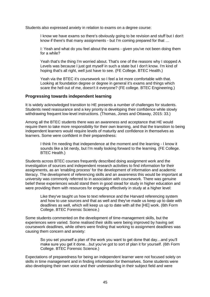Students also expressed anxiety in relation to exams on a degree course:

I know we have exams so there's obviously going to be revision and stuff but I don't know if there's that many assignments - but I'm coming prepared for that …

I: Yeah and what do you feel about the exams - given you've not been doing them for a while?

Yeah that's the thing I'm worried about. That's one of the reasons why I stopped A Levels was because I just got myself in such a state but I don't know. I'm kind of hoping that's all right, well just have to see. (FE College. BTEC Health.)

Yeah via the BTEC it's coursework so I feel a lot more comfortable with that. Looking at foundation degree or degree in general it's exams and things which scare the hell out of me, doesn't it everyone? (FE college. BTEC Engineering.)

#### **Progressing towards independent learning**

It is widely acknowledged transition to HE presents a number of challenges for students. Students need reassurance and a key priority is developing their confidence while slowly withdrawing frequent low-level instructions. (Thomas, Jones and Ottaway, 2015: 33.)

Among all the BTEC students there was an awareness and acceptance that HE would require them to take more responsibility for their own learning, and that the transition to being independent learners would require levels of maturity and confidence in themselves as learners. Some were confident in their preparedness:

I think I'm needing that independence at the moment and the learning - I know it sounds like a bit nerdy, but I'm really looking forward to the learning. (FE College. BTEC Health.)

Students across BTEC courses frequently described doing assignment work and the investigation of sources and independent research activities to find information for their assignments, as an 'enabling process' for the development of information and academic literacy. The development of referencing skills and an awareness this would be important at university was commonly referred to in association with coursework. There was genuine belief these experiences would stand them in good stead for study in higher education and were providing them with resources for engaging effectively in study at a higher level:

Like they've taught us how to text reference and the Harvard referencing system and how to use sources and that as well and they've made us keep up to date with deadlines as well, which will keep us up to date with all the [HE] work. (6th Form College. BTEC Forensic Science.)

Some students commented on the development of time-management skills, but the experiences were varied. Some realised their skills were being improved by having set coursework deadlines, while others were finding that working to assignment deadlines was causing them concern and anxiety:

So you set yourself a plan of the work you want to get done that day…and you'll make sure you get it done…but you've got to sort of plan it for yourself. (6th Form College. BTEC Forensic Science.)

Expectations of preparedness for being an independent learner were not focused solely on skills in time management and in finding information for themselves. Some students were also developing their own voice and their understanding in their subject field and were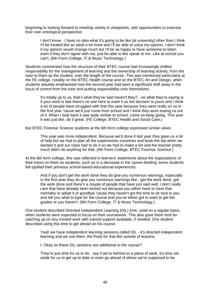beginning to looking forward to meeting variety in viewpoints, with opportunities to exercise their own ontological perspective:

I don't know - I have no idea what it's going to be like [at university] other than I think I'll be treated like an adult a lot more and I'll be able to voice my opinion. I don't think if my opinion would change much but I'll be as happy to have someone to listen even if they don't agree with me, just be able to like speak to me. Like at school you can't. (6th Form College. IT & Music Technology.)

Students commented how the structure of their BTEC course had increasingly shifted responsibility for the management of learning and the ownership of learning activity, from the tutor to them as the student, over the length of the course. This was mentioned particularly at the FE college, notably on the BTEC Health course and on the BTEC Art and Design, when students astutely emphasised how the second year had seen a significant shift away in the locus of control from the tutor and putting responsibility onto themselves.

It's totally up to us, that's what they've said haven't they?…so what they're saying is if your work is late there's no one here to mark it so the decision is yours and I think a lot of people have struggled with that this year because they were really on us in the first year 'cause we'd just come from school and I think they were easing us out of it. When I look back it was quite similar to school, come on keep going. This year it was just like, do it great. (FE College. BTEC Health and Social Care.)

But BTEC Forensic Science students at the 6th form college expressed similar views:

This year was more independent. Because we'd done it last year they gave us a bit of help but we had to plan all the experiments ourselves and book the lab when we wanted it and our class had to do it so we had to make a list and the teacher pretty much didn't do anything for that. (6th Form College. BTEC Forensic Science.)

At the 6th form college, this was reflected in learners' statements about the expectations of their tutors on them as students, such as in a decrease in the 'spoon-feeding' some students felt typified their previous school-based educational experiences:

And if you don't get the work done they do give you numerous warnings, especially in the first year they do give you numerous warnings like - get the work done, get the work done and there's a couple of people that have just said well, I don't really care that have already been kicked out because you either have to have that mentality or adopt it or goodbye 'cause they haven't got the time to sit next to you and tell you what to type for the course and you've either got to want to get the grades or you haven't. (6th Form College. IT & Music Technology.)

One student described Directed Independent Learning (DIL) time, used on a regular basis, when students were expected to focus on their coursework. This also gave them time for catching up on any missed work with tutorial support available, if needed. One student described using this time to get ahead on his course:

Yeah we have independent learning sessions called DIL - it's directed independent learning and we use them, the Pods for that like outside of lessons.

I: Okay so these DIL sessions are additional to the course?

They're just time for us to do - say if we're behind on a piece of work, it's time set aside for us to get up to date or even go ahead of where we're supposed to be.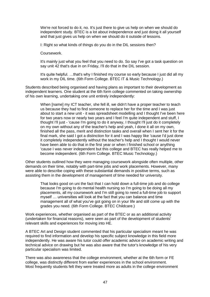We're not forced to do it, no. It's just there to give us help on when we should do independent study. BTEC is a lot about independence and just doing it all yourself and that just gives us help on when we should do it outside of lessons.

I: Right so what kinds of things do you do in the DIL sessions then?

Coursework.

It's mainly just what you feel that you need to do. So say I've got a task question on say unit 42 that's due in on Friday, I'll do that in the DIL session.

It's quite helpful. …that's why I finished my course so early because I just did all my work in my DIL time. (6th Form College. BTEC IT & Music Technology.)

Students described being organised and having plans as important to their development as independent learners. One student at the 6th form college commented on taking ownership of his own learning, undertaking one unit entirely independently:

When [name] my ICT teacher, she fell ill, we didn't have a proper teacher to teach us because they had to find someone to replace her for the time and I was just about to start a new unit - it was spreadsheet modelling and I thought I've been here for two years now or nearly two years and I feel I'm quite independent and stuff, I thought I'll just - 'cause I'm going to do it anyway, I thought I'll just do it completely on my own without any of the teacher's help and yeah, I done it all on my own, finished all the pass, merit and distinction tasks and overall when I sent her it for the final mark, she said I got a distinction for it and I was happy like 'cause I'd just done it completely independently without the teacher's help and I thought I would never have been able to do that in the first year or when I finished school or anything 'cause I was never independent but this college and BTEC has really helped me to become independent. (6th Form College. BTEC Music Technology.)

Other students outlined how they were managing coursework alongside often multiple, other demands on their time, notably with part-time jobs and work placements. However, many were able to describe coping with these substantial demands in positive terms, such as assisting them in the development of management of time needed for university.

That looks good on uni the fact that I can hold down a full-time job and do college because I'm going to do mental health nursing so I'm going to be doing all my placements, all my coursework and I'm still going to need a full-time job to support myself … universities will look at the fact that you can balance and time management all of what you've got going on in your life and still come up with the grades you need. (6th Form College. BTEC Childcare.)

Work experiences, whether organised as part of the BTEC or as an additional activity (undertaken for financial reasons), were seen as part of the development of students' relevant skills and experiences for moving into HE.

A BTEC Art and Design student commented that his particular specialism meant he was required to find information and develop his specific subject knowledge in this field more independently. He was aware his tutor could offer academic advice on academic writing and technical advice on drawing but he was also aware that the tutor's knowledge of his very particular specialism was limited.

There was also awareness that the college environment, whether at the 6th form or FE college, was distinctly different from earlier experiences in the school environment. Most frequently students felt they were treated more as adults in the college environment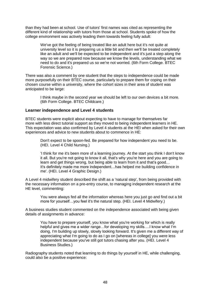than they had been at school. Use of tutors' first names was cited as representing the different kind of relationship with tutors from those at school. Students spoke of how the college environment was actively leading them towards feeling fully adult:

We've got the feeling of being treated like an adult here but it's not quite at university level so it is preparing us a little bit and then we'll be treated completely like an adult and we'll be expected to be independent and it's just a step along the way so we are prepared now because we know the levels, understanding what we need to do and it's prepared us so we're not worried. (6th Form College. BTEC Forensic Science.)

There was also a comment by one student that the steps to independence could be made more purposefully on their BTEC course, particularly to prepare them for coping on their chosen course within a university, where the cohort sizes in their area of student was anticipated to be large:

I think maybe in the second year we should be left to our own devices a bit more. (6th Form College. BTEC Childcare.)

#### **Learner independence and Level 4 students**

BTEC students were explicit about expecting to have to manage for themselves far more with less direct tutorial support as they moved to being independent learners in HE. This expectation was also confirmed by Level 4 students at the HEI when asked for their own experiences and advice to new students about to commence in HE:

Don't expect to be spoon-fed. Be prepared for how independent you need to be. (HEI. Level 4 Child Nursing.)

'I think for me it's been more of a learning journey. At the start you think I don't know it all. But you're not going to know it all, that's why you're here and you are going to learn and get things wrong, but being able to learn from it and that's good… It's definitely made me more independent…has helped me building confidence in me'. (HEI. Level 4 Graphic Design.)

A Level 4 midwifery student described the shift as a 'natural step', from being provided with the necessary information on a pre-entry course, to managing independent research at the HE level, commenting:

You were always fed all the information whereas here you just go and find out a bit more for yourself…you feel it's the natural step. (HEI. Level 4 Midwifery.)

A business studies student commented on the independence associated with being given details of assignments in advance:

You have to prepare yourself, you know what you're working for which is really helpful and gives me a wider range…for developing my skills….I know what I'm doing, I'm building up slowly, slowly looking forward. It's given me a different way of appreciating what I'm going to do as I go on [whereas in college] you were less independent because you've still got tutors chasing after you. (HEI. Level 4 Business Studies.)

Radiography students noted that learning to do things by yourself in HE, while challenging, could also be a positive experience: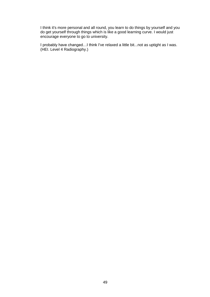I think it's more personal and all round, you learn to do things by yourself and you do get yourself through things which is like a good learning curve. I would just encourage everyone to go to university.

I probably have changed…I think I've relaxed a little bit...not as uptight as I was. (HEI. Level 4 Radiography.)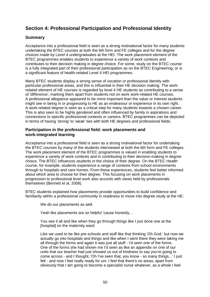## <span id="page-52-0"></span>**Section 4: Professional Participation and Professional Identity**

## **Summary**

Acceptance into a professional field is seen as a strong motivational factor for many students undertaking the BTEC courses at both the 6th form and FE colleges and for the degree choices made by Level 4 undergraduates at the HEI. The work placement element of the BTEC programmes enables students to experience a variety of work contexts and contributes to their decision making in degree choice. For some, study on the BTEC course is a fully integrated part of their professional participation as on the BTEC Engineering, or is a significant feature of health-related Level 4 HEI programmes.

Many BTEC students display a strong sense of vocation or professional identity with particular professional areas, and this is influential in their HE decision making. The workrelated element of HE courses is regarded by level 4 HE students as contributing to a sense of 'difference', marking them apart from students not on work work-related HE courses. A professional allegiance appeared to be more important than the value or interest students might see in being in or progressing to HE as an endeavour or experience in its own right. A work-related degree is seen as a critical step for many students towards a chosen career. This is also seen to be highly gendered and often influenced by family in aspirations and connections to specific professional contexts or careers. BTEC programmes can be depicted in terms of having 'strong' to 'weak' ties with both HE degrees and professional fields.

#### **Participation in the professional field: work placements and work-integrated learning**

Acceptance into a professional field is seen as a strong motivational factor for undertaking the BTEC courses by many of the students interviewed at both the 6th form and FE colleges. The work placement element of the BTEC programmes is valued in enabling students to experience a variety of work contexts and in contributing to their decision-making in degree choice. The BTEC influences students in the choice of their degree. On the BTEC Health course, for example, students experience a range of contexts from school environments through to hospitals and care homes. From these experiences, students feel better informed about which area to choose for their degree. This focusing on work placements in progression to professional level work also accords with views held by professionals themselves (Bennett et al, 2008).

BTEC students explained how placements provide opportunities to build confidence and familiarity within a professional community in readiness to move into degree study at the HE:

We do our placements as well.

Yeah like placements are so helpful 'cause honestly…

You see it all and like when they go through things like I just done one at the [hospital] on the maternity ward.

Like we used to be like pre-schools and stuff like that thinking 'Oh God,' but now we actually go into hospitals and things and like when I went there they were taking me all through the forms and again it was just all stuff - I'd seen one of the forms. One of the forms she had shown me I'd seen as like an appendix on one of our units that our teacher had just showed us out of kindness to say you're going to come across - and I thought, 'Oh I've seen that, you know - so many things...' I just felt - and now I feel really ready for uni. I feel that there's no areas, apart from obviously that I am going to become a specialist nurse whatever, as a whole I feel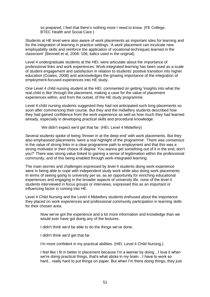so prepared, I feel that there's nothing more I need to know. (FE College. BTEC Health and Social Care.)

Students at HE level were also aware of work placements as important sites for learning and for the integration of learning in practice settings. 'A work placement can inculcate new employability skills and *reinforce* the application of vocational techniques learned in the classroom' (Bennett et al, 2008: 106, italics used in the original).

Level 4 undergraduate students at the HEI, were articulate about the importance of professional links and work experiences. Work-integrated learning has been used as a scale of student engagement and satisfaction in relation to students' positive transition into higher education (Coates, 2008) and acknowledges the growing importance of the integration of employment-focused experiences into HE study.

One Level 4 child nursing student at the HEI, commented on getting 'insights into what the real child is like' through the placement, making a case for the value of placement experiences within, and from the outset, of the HE study programme.

Level 4 child nursing students suggested they had not anticipated such long placements so soon after commencing their course. But they and the midwifery students described how they had gained confidence from the work experience as well as how much they had learned already, especially in developing practical skills and procedural knowledge:

We didn't expect we'd get that far. (HEI. Level 4 Midwifery)

Several students spoke of being 'thrown in at the deep end' with work placements. But they also emphasised placements 'were a real highlight of the programme'. There was consensus in the value of strong links in a clear programme path to employment and that this was a strong motivator in their choice of degree 'You wanna get something out of it in the end, don't you?' There was strong value linked to gaining a sense of legitimation within the professional community, and of this being enabled through work-integrated learning.

The main worries and challenges expressed by level 4 students doing work experience were in being able to cope with independent study work while also doing work placements. In terms of seeing going to university per se, as an opportunity for enriching educational experiences and engaging in the broader aspects of university life, none of the level 4 students interviewed in focus groups or interviews, expressed this as an important or influencing factor in coming into HE.

Level 4 Child Nursing and the Level 4 Midwifery students enthused about the importance they placed on work experiences and professional community participation in learning skills for their chosen area:

Now we've got the experience and a lot more information and knowledge than we would ever have got doing any of the lectures.

I didn't think we'd be able to do the things we've done.

I didn't think we'd get that far.

I'm more confident in my practical abilities. (HEI. Level 4 Child Nursing.)

I feel like I fit in better in placement because I'm a learner by doing…I love it when we're doing practical things, that's what sticks in my brain…I have to work so hard…really hard to put things on paper. But when I'm there doing things, they just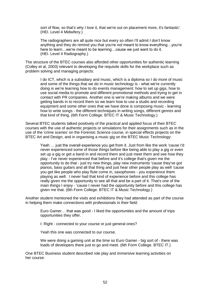sort of flow, so that's why I love it, that we're out on placement more, it's fantastic'. (HEI. Level 4 Midwifery.)

The radiographers are all quite nice but every so often I'll admit I don't know anything and they do remind you that you're not meant to know everything…you're here to learn... we're meant to be learning... cause we just want to do it. (HEI. Level 4 Radiography.)

The structure of the BTEC courses also afforded other opportunities for authentic learning (Colley et al, 2003) relevant to developing the requisite skills for the workplace such as problem solving and managing projects:

I do ICT, which is a subsidiary and music, which is a diploma so I do more of music and some of the things that we do in music technology is - what we're currently doing is we're learning how to do events management: how to set up gigs, how to use social media to promote and different promotional methods and trying to get in contact with PR companies. Another one is we're making albums and we were getting bands in to record them so we learn how to use a studio and recording equipment and some other ones that we have done is composing music - learning how to write songs - the different techniques in writing songs, different genres and that kind of thing. (6th Form College. BTEC IT & Music Technology.)

Several BTEC students talked positively of the practical and applied focus of their BTEC courses with the use of authentic projects or simulations for their assignments such as in the use of the 'crime scenes' on the Forensic Science course, in special effects projects on the BTEC Art and Design, and in organising a music gig on the BTEC Music Technology:

Yeah … just the overall experience you get from it. Just from like the work 'cause I'd never experienced some of those things before like being able to play a gig or even set up a gig or get a band in and record them and just meet them and see how they play - I've never experienced that before and it's college that's given me the opportunity to do that - just try new things, play new instruments 'cause they've got pianos, bass guitars and all that thing and just hear other people play as well 'cause you get like people who play flute come in, saxophones - you experience them playing as well. I never had that kind of experience before and this college has really given me the opportunity to see all that and be a part of it. That's one of the main things I enjoy - 'cause I never had the opportunity before and this college has given me that. (6th Form College. BTEC IT & Music Technology.)

Another student mentioned the visits and exhibitions they had attended as part of the course in helping them make connections with professionals in their field:

Euro Gamer… that was good - I liked the opportunities and the amount of trips opportunities they offer.

I: Right - connected to your course or just general ones?

Yeah this one was connected to our course.

We were doing a gaming unit at the time so Euro Gamer - big sort of - there was loads of developers there just to go and meet. (6th Form College. BTEC IT.)

One BTEC Business student described role play and immersive learning activities on her course: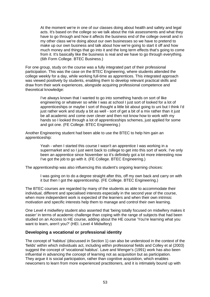At the moment we're in one of our classes doing about health and safety and legal acts. It's based on the college so we talk about the risk assessments and what they have to go through and how it affects the business end of the college overall and in my other class we're doing about our own businesses so we have to pretend to make up our own business and talk about how we're going to start it off and how much money and things that go into it and the long term effects that's going to come from it. It's basically like the business is real and we have to go through everything. (6th Form College. BTEC Business.)

For one group, study on the course was a fully integrated part of their professional participation. This was the case on the BTEC Engineering, where students attended the college weekly for a day, while working full-time as apprentices. This integrated approach was viewed positively by students, enabling them to develop relevant practical skills and draw from their work experiences, alongside acquiring professional competence and theoretical knowledge:

I've always known that I wanted to go into something hands on sort of like engineering or whatever so while I was at school I just sort of looked for a lot of apprenticeships or maybe I sort of thought a little bit about going to uni but I think I'd just rather work and study a bit as well - sort of get a bit of a mix rather than it just be all academic and come over clever and then not know how to work with my hands so I looked through a lot of apprenticeships schemes, just applied for some and got one. (FE College. BTEC Engineering.)

Another Engineering student had been able to use the BTEC to help him gain an apprenticeship:

> Yeah - when I started this course I wasn't an apprentice I was working in a supermarket and so I just went back to college to get into this sort of work. I've only been an apprentice since November so it's definitely got a lot more interesting now I've got the job to go with it. (FE College. BTEC Engineering.)

The apprenticeship was also influencing this student's ongoing learning choices:

I was going on to do a degree straight after this, off my own back and carry on with it but then I got the apprenticeship. (FE College. BTEC Engineering.)

The BTEC courses are regarded by many of the students as able to accommodate their individual, different and specialised interests especially in the second year of the course, when more independent work is expected of the learners and when their own intrinsic motivation and specific interests help them to manage and control their own learning.

One Level 4 midwifery student also asserted that 'being totally focused on midwifery makes it easier*'* in terms of academic challenge than coping with the range of subjects that had been studied on an Access to HE course, adding about the HE course 'You're learning what you want to learn, aren't you?' (HEI. Level 4 Midwifery)

### **Developing a vocational or professional identity**

The concept of 'habitus' (discussed in Section 1) can also be understood in the context of the 'fields' within which individuals act, including within professional fields and Colley et al (2003) suggest the concept of 'vocational habitus'. Lave and Wenger's (1991) work has also been influential in advancing the concept of learning not as acquisition but as participation. They argue it is social participation, rather than cognitive acquisition, which enables newcomers to learn from more experienced practitioners, and it is intimately bound up with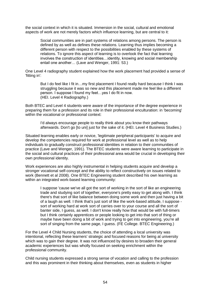the social context in which it is situated. Immersion in the social, cultural and emotional aspects of work are not merely factors which influence learning, but are central to it:

Social communities are in part systems of relations among persons. The person is defined by as well as defines these relations. Learning thus implies becoming a different person with respect to the possibilities enabled by these systems of relations. To ignore this aspect of learning is to overlook the fact that learning involves the construction of identities…identity, knowing and social membership entail one another… (Lave and Wenger, 1991: 53.)

One Level 4 radiography student explained how the work placement had provided a sense of 'fitting in':

But I do feel like I fit in…my first placement I found really hard because I think I was struggling because it was so new and this placement made me feel like a different person. I suppose I found my feet…yes I do fit in now. (HEI. Level 4 Radiography.)

Both BTEC and Level 4 students were aware of the importance of the degree experience in preparing them for a profession and its role in their professional enculturation: in 'becoming' within the vocational or professional context:

I'd always encourage people to really think about you know their pathways afterwards. Don't go [to uni] just for the sake of it. (HEI. Level 4 Business Studies.)

Situated learning enables early or novice, 'legitimate peripheral participants' to acquire and develop the competencies required for work at professional level as well as to help individuals to gradually construct professional identities in relation to their communities of practice (Lave and Wenger, 1991). The BTEC students were aware learning to participate in the social and cultural practices of their professional area would be crucial in developing their own professional identity.

Work experiences are also highly instrumental in helping students acquire and develop a stronger vocational self-concept and the ability to reflect constructively on issues related to work (Bennett et al 2008). One BTEC Engineering student described his own learning as within an integrated work-based learning community:

I suppose 'cause we've all got the sort of working in the sort of like an engineering trade and studying sort of together, everyone's pretty easy to get along with. I think there's that sort of like balance between doing some work and then just having a bit of a laugh as well. I think that's just sort of like the work-based attitude, I suppose sort of working hard at work sort of carries over to your course and all the sort of banter side, I guess, as well. I don't know really how that would be with full-timers but I think certainly apprentices or people looking to get into that sort of thing or maybe have been doing a bit of work and trying to get into engineering, you're all sort of singing from the same page, I guess. (FE College. BTEC Engineering.)

For the Level 4 Child Nursing students, the choice of attending a local university was intentional, reflecting these learners' strategic and focused reasons for being at university which was to gain their degree. It was not influenced by desires to broaden their general academic experiences but was wholly focused on seeking enrichment within the professional community.

Child nursing students expressed a strong sense of vocation and calling to the profession and this was prominent in their thinking about themselves, even as students in higher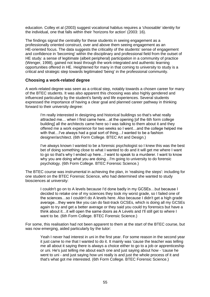education. Colley et al (2003) suggest vocational habitus requires a 'choosable' identity for the individual, one that falls within their 'horizons for action' (2003: 16).

The findings signal the centrality for these students in seeing engagement as a professionally oriented construct, over and above them seeing engagement as an HE-oriented focus. The data suggests the criticality of the students' sense of engagement and confidence in 'becoming' within the disciplinary and professional field from the outset of HE study: a sense of legitimate (albeit peripheral) participation in a community of practice (Wenger, 1998), gained not least through the work-integrated and authentic learning opportunities offered in HE. Heightened for many in that coming to university to study is a critical and strategic step towards legitimated 'being' in the professional community.

#### **Choosing a work-related degree**

A work-related degree was seen as a critical step, notably towards a chosen career for many of the BTEC students. It was also apparent this choosing was also highly gendered and influenced particularly by the student's family and life experiences. Several students expressed the importance of having a clear goal and planned career pathway in thinking forward to their university degree:

I'm really interested in designing and historical buildings so that's what really attracted me… when I first came here…at the opening [of the 6th form college building] all the architects came here so I was talking to them about it and they offered me a work experience for two weeks so I went…and the college helped me with that...I've always had a goal sort of thing...I wanted to be a fashion designer/architect. (6th Form College. BTEC Art and Design.)

I've always known I wanted to be a forensic psychologist so I knew this was the best bet of doing something close to what I wanted to do and it will get me where I want to go so that's why I ended up here…I want to speak to a murderer. I want to know why you are doing what you are doing…I'm going to university to do forensic psychology. (6th Form College. BTEC Forensic Science.)

The BTEC course was instrumental in achieving the plan, in 'realising the steps': including for one student on the BTEC Forensic Science, who had determined she wanted to study biosciences at university:

I couldn't go on to A levels because I'd done badly in my GCSEs…but because I decided to retake one of my sciences they took my worst grade, so I failed one of the sciences…so I couldn't do A levels here. Also because I didn't get a high grade average…they were like you can do fast-track GCSEs, which is doing all my GCSEs again to try and get a better average or they said you could try forensics but have a think about it…it will open the same doors as A Levels and I'll still get to where I want to be. (6th Form College. BTEC Forensic Science.)

For some, this realisation had not been apparent to them at the start of the BTEC course, but was now emerging, aided particularly by the tutor:

Yeah I never had interest in uni in the first year. For some reason in the second year it just came to me that I wanted to do it. It mainly was 'cause the teacher was telling me all about it saying there is always a choice either to go to a job or apprenticeship or uni. He's just telling me about each one and just saying about how - 'cause he went to uni - and just saying how uni really is and just the whole process of it and that's what got me interested. (6th Form College. BTEC Forensic Science.)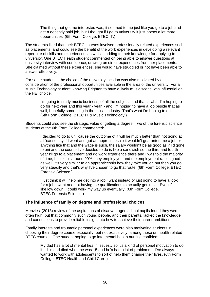The thing that got me interested was, it seemed to me just like you go to a job and get a decently paid job, but I thought if I go to university it just opens a lot more opportunities. (6th Form College. BTEC IT.)

The students liked that their BTEC courses involved professionally related experiences such as placements, and could see the benefit of the work experiences in developing a relevant repertoire of skills and experiences, as well as adding to their knowledge for applying to university. One BTEC Health student commented on being able to answer questions at university interview with confidence, drawing on direct experiences from her placements. She claimed without these experiences, she would have struggled or not have been able to answer effectively.

For some students, the choice of the university location was also motivated by a consideration of the professional opportunities available in the area of the university. For a Music Technology student, knowing Brighton to have a lively music scene was influential on the HEI choice:

I'm going to study music business, of all the subjects and that is what I'm hoping to do for next year and this year - yeah - and I'm hoping to have a job beside that as well, hopefully something in the music industry. That's what I'm hoping to do. (6th Form College. BTEC IT & Music Technology.)

Students could also see the strategic value of getting a degree. Two of the forensic science students at the 6th Form College commented:

I decided to go to uni 'cause the outcome of it will be much better than not going at all 'cause say if I went and got an apprenticeship it wouldn't guarantee me a job or anything like that and the wage is such, the salary wouldn't be as good as if I'd gone to uni and the course I've decided to do is like a sandwich so the third and fourth year I'll go to a placement and do work experience there and I was told the majority of time, I think it's around 90%, they employ you and the employment rate is good as well. It's very similar to an apprenticeship how they take you on but then you go very steadily and that's why I've chosen to go that route. (6th Form College. BTEC Forensic Science.)

I just think it will help me get into a job I want instead of just going to have a look for a job I want and not having the qualifications to actually get into it. Even if it's like low down, I could work my way up eventually. (6th Form College. BTEC Forensic Science.)

#### **The influence of family on degree and professional choices**

Menzies' (2013) review of the aspirations of disadvantaged school pupils found they were often high, but that commonly such young people, and their parents, lacked the knowledge and connections to provide reliable insight into how to achieve their career ambitions.

Family interests and traumatic personal experiences were also motivating students in choosing their degree course especially, but not exclusively, among those on health-related BTEC courses. One student hoping to go into mental health nursing confided:

My dad has a lot of mental health issues…so it's a kind of personal motivation to do it… his dad died when he was 15 and he's had a lot of problems… I've always wanted to work with adolescents to sort of help them change their lives. (6th Form College. BTEC Health and Child Care.)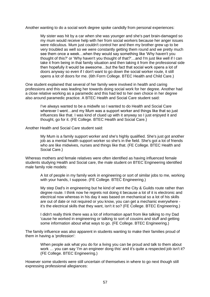Another wanting to do a social work degree spoke candidly from personal experiences:

My sister was hit by a car when she was younger and she's part brain-damaged so my mum would receive help with her from social workers because her anger issues were ridiculous. Mum just couldn't control her and then my brother grew up to be very troubled as well so we were constantly getting them round and we pretty much see them once a week…when they would say something like 'Why haven't you thought of this?' or 'Why haven't you thought of that?'…and I'm just like well if I can take it from being in that family situation and then taking it from the professional side then hopefully it would be awesome…but the fact that social work opens a lot of doors anyway so even if I don't want to go down the social worker route, it still opens a lot of doors for me. (6th Form College. BTEC Health and Child Care.)

One student explained that several of her family were involved in health and caring professions and this was leading her towards doing social work for her degree. Another had a close relative working as a paramedic and this had led to her own choice in her degree also around paramedic practice. A BTEC Health and Social Care student said:

I've always wanted to be a midwife so I wanted to do Health and Social Care wherever I went…and my Mum was a support worker and things like that so just influences like that. I was kind of clued up with it anyway so I just enjoyed it and thought, go for it. (FE College. BTEC Health and Social Care.)

Another Health and Social Care student said:

My Mum is a family support worker and she's highly qualified. She's just got another job as a mental health support worker so she's in the field. She's got a lot of friends who are like midwives, nurses and things like that. (FE College. BTEC Health and Social Care.)

Whereas mothers and female relatives were often identified as having influenced female students studying Health and Social care, the male student on BTEC Engineering identified male family role models:

A lot of people in my family work in engineering or sort of similar jobs to me, working with your hands, I suppose. (FE College. BTEC Engineering.)

My step Dad's in engineering but he kind of went the City & Guilds route rather than degree route. I think now he regrets not doing it because a lot of it is electronic and electrical now whereas in his day it was based on mechanical so a lot of his skills are out of date or not required or you know, you can get a mechanic everywhere it's the electrical skills that they want, isn't it so? (FE College. BTEC Engineering.)

I didn't really think there was a lot of information apart from like talking to my Dad 'cause he worked in engineering or talking to sort of cousins and stuff and getting some information about what ways to go. (FE College. BTEC Engineering.)

The family influence was also apparent in students wanting to make their families proud of them in having a 'profession':

When people ask what you do for a living you can be proud and talk to them about work … you can say 'I'm an engineer dong this' and it's quite a respected job isn't it? (FE College. BTEC Engineering.)

However some students were still uncertain of themselves in where to go next though still expressing professional allegiances: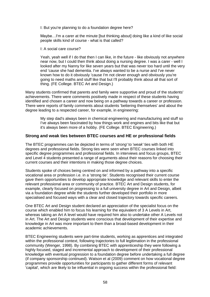I: But you're planning to do a foundation degree here?

Maybe…I'm a carer at the minute [but thinking about] doing like a kind of like social people skills kind of course - what is that called?

I: A social care course?

Yeah, yeah well if I do that then I can like, in the future - like obviously not anywhere near now, but I could then think about doing a nursing degree. I was a carer - well I looked after my Nanny for like seven years but that was never too hard until the very end 'cause she had dementia. I've always wanted to be a nurse and I've never known how to do it obviously 'cause I'm not clever enough and obviously you're going to need maths and stuff like that but I'll probably think about all that sort of thing. (FE College. BTEC Art and Design.)

Many students confirmed that parents and family were supportive and proud of the students' achievements. There were comments positively made in respect of these students having identified and chosen a career and now being on a pathway towards a career or profession. There were reports of family comments about students 'bettering themselves' and about the degree leading to a respected career, for example, in engineering:

My step dad's always been in chemical engineering and manufacturing and stuff so I've always been fascinated by how things work and engines and bits like that but it's always been more of a hobby. (FE College. BTEC Engineering.)

#### **Strong and weak ties between BTEC courses and HE or professional fields**

The BTEC programmes can be depicted in terms of '*strong'* to '*weak'* ties with both HE degrees and professional fields. Strong ties were seen when BTEC courses linked into specific degree programmes and professional fields. In interviews and focus groups, BTEC and Level 4 students presented a range of arguments about their reasons for choosing their current courses and their intentions in making those degree choices.

Students spoke of choices being centred on and informed by a pathway into a specific vocational area or profession i.e. in a 'strong tie*'*. Students recognised their current course gave them opportunities to develop appropriate knowledge and relevant skills to enter the relevant professional area or community of practice. BTEC Art and Design students, for example, clearly focused on progressing to a full university degree in Art and Design, albeit via a foundation degree while the students further developed their portfolio in more specialised and focused ways with a clear and closed trajectory towards specific careers.

One BTEC Art and Design student declared an appreciation of the specialist focus on the course which enabled him to focus his learning for the equivalent of 3 A Levels in Art, whereas taking an Art A level would have required him also to undertake other A Levels not in Art. The Art and Design students were conscious that development of their expertise and knowledge in Art was more important to them than a broad-based development in their academic achievements.

BTEC Engineering students were part-time students, working as apprentices and integrated within the professional context, following trajectories to full legitimation in the professional community (Wenger, 1998). By combining BTEC with apprenticeship they were following a highly focused, staged and incremental approach to development of their professional knowledge with eventual progression to a foundation degree before undertaking a full degree (if company sponsorship continued). Watson et al (2009) comment on how vocational degree programmes provide opportunities for participants to gather different forms of relevant 'capital', which are likely to be influential in ongoing success within the professional field: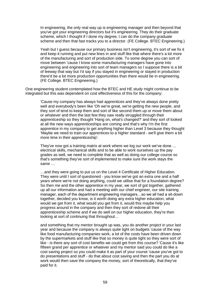In engineering, the only real way up is engineering manager and then beyond that you've got your engineering directors but it's engineering. They do their graduate scheme, which I thought if I done my degree, I can do the company graduate scheme and then that fast tracks you to a director. (FE College. BTEC Engineering.)

Yeah but I guess because our primary business isn't engineering, it's sort of we fix it and keep it running and put new lines in and stuff like that where there's a lot more of the manufacturing and sort of production side. To some degree you can sort of move between 'cause I know some manufacturing managers have gone into engineering and engineering into sort of team managers so I suppose there is a bit of leeway that way but I'd say if you stayed in engineering or stayed in production there'd be a lot more production opportunities than there would be in engineering. (FE College. BTEC Engineering.)

One engineering student contemplated how the BTEC and HE study might continue to be integrated but this was dependent on cost effectiveness of this for the company:

'Cause my company has always had apprentices and they've always done pretty well and everybody's been like 'Oh we're great, we're getting the new people, and they sort of tend to keep them and sort of like second them up or move them about or whatever and then the last few they saw really struggled through their apprenticeship so they thought 'Hang on, what's changed?' and they sort of looked at all the new ways apprenticeships are coming and that's why I'm the first apprentice in my company to get anything higher than Level 3 because they thought 'Maybe we need to train our apprentices to a higher standard - we'll give them a bit more time in their apprenticeship'.

They've now got a training matrix at work where we log our work we've done … electrical skills, mechanical skills and to be able to work ourselves up the pay grades as well, we need to complete that as well as doing our college course so that's something they've sort of implemented to make sure the work stays the same

…and they were going to put us on the Level 4 Certificate of Higher Education. They were until I sort of questioned - you know we've got an extra one and a half years where we're not doing anything, could we utilise that for a foundation degree? So then me and the other apprentice in my year, we sort of got together, gathered up all our information and had a meeting with our chief engineer, our site training manager, each of the department engineering managers…so we all had a sit-down together, decided you know, is it worth doing any extra higher education, what would we get from it, what would you get from it, would this maybe help you progress around in the company and then they sort of redone all their apprenticeship scheme and if we do well on our higher education, they're then looking at sort of continuing that throughout…

and something that my mentor brought up was, you do another project in your last year and because the company is always quite tight on budgets 'cause of the way like food manufacturing companies work, a lot of the costs have been driven down by the supermarkets and stuff like that so money is quite tight so they were sort of like - is there any sort of cost benefits we could get from this course? 'Cause it's like fifteen grand per apprentice or whatever and my mentor said you could do like a cost saving project so you could make it as part of your course 'cause you've got to do presentations and stuff - do that about cost saving and then the part you do at work would then save the company the money, sort of theoretically, that they've paid for it.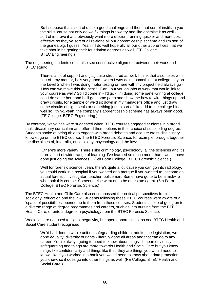So I suppose that's sort of quite a good challenge and then that sort of instils in you the skills 'cause not only do we fix things but we try and like optimise it as well sort of improve it and obviously want more efficient running quicker and more cost effective so they've sort of all re-done all our apprenticeship scheme and I'm sort of the guinea pig, I guess. Yeah if I do well hopefully all our other apprentices that we take should be getting their foundation degrees as well. (FE College. BTEC Engineering.)

The engineering students could also see constructive alignment between their work and BTEC study:

There's a lot of support and [it's] quite structured as well. I think that also helps with sort of - my mentor, he's very good - when I was doing something at college, say on the Level 2 when I was doing motor testing or here with my project he'd always go - 'How can we make this the best?...Can I put you on jobs at work that would link to your course as well? So I'd come in - I'd go - I'm doing some panel-wiring at college, can I do some here and he'll get some parts and show me how to wire things up and draw circuits, for example or we'd sit down in my manager's office and just draw some circuits of sight seals or something just to sort of like add to the college bit as well so I think, yeah, the company's apprenticeship scheme has always been good. (FE College. BTEC Engineering.)

By contrast, 'weak' ties were suggested when BTEC courses engaged students in a broad multi-disciplinary curriculum and offered them options in their choice of succeeding degree. Students spoke of being able to engage with broad debates and acquire cross-disciplinary knowledge on the BTEC course. The BTEC Forensic Science, for example, brought together the disciplines of, inter alia, of sociology, psychology and the law:

…there's more variety. There's like criminology, psychology, all the sciences and it's more a sort of wider range of learning. I've learned so much more than I would have done just doing the sciences… (6th Form College. BTEC Forensic Science.)

Well for forensic science, yeah, there's quite a lot 'cause you can go into radiology, you could work in a hospital if you wanted or a morgue if you wanted to, become an actual forensic investigator, teacher, policeman. Some have gone to be a midwife who took this course. Someone else went on to be an estate agent. (6th Form College. BTEC Forensic Science.)

The BTEC Health and Child Care also encompassed theoretical perspectives from sociology, education and the law. Students following these BTEC courses were aware of a 'space of possibilities' opened up to them from these courses. Students spoke of going on to a diverse range of degree programmes and careers, such as into nursing from the BTEC Health Care, or onto a degree in psychology from the BTEC Forensic Science.

Weak ties are not used to signal negativity, but open opportunities, as one BTEC Health and Social Care student recognised:

We'd had done a whole unit on safeguarding children, adults, the legislation, we done equality, diversity of rights - literally done all areas and that can go to any career. You're always going to need to know about things - I mean obviously safeguarding and things are more towards Health and Social Care but you know things like confidentiality and things like that, they are things you would need to know, like if you worked in a bank you would need to know about data protection, you know, so it does go into other things as well. (FE College. BTEC Health and Social Care.)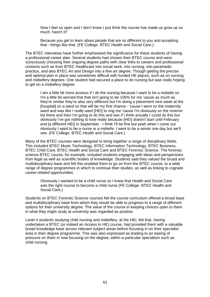Now I feel so open and I don't know I just think the course has made us grow up so much, hasn't it?

Because you get to learn about people that are so different to you and accepting that - things like that. (FE College. BTEC Health and Social Care.)

The BTEC interviews have further emphasised the significance for these students of having a professional career plan. Several students had chosen their BTEC course and were consciously choosing their ongoing degree paths with clear links to careers and professional contexts such as from BTEC Healthcare into social work, into nursing, into paramedic practice, and also BTEC Art and Design into a fine art degree. Though getting the precise and optimal plan in place was sometimes difficult with funded HE places, such as on nursing and midwifery degrees. One student had secured a place to do nursing but was really hoping to get on a midwifery degree:

I am a little bit more anxious if I do the nursing because I want to be a midwife so I'm a little bit worried that that isn't going to be 100% for me 'cause as much as they're similar they're also very different but I'm doing a placement next week at the [hospital] on a ward so that will be my first chance - 'cause I went on the maternity ward and was like I really want [HEI] to ring me 'cause I'm obviously on the reserve list there and then I'm going to do this and see if I think actually I could do this but obviously I've got nothing to lose really because [HEI] doesn't start until February and [a different HEI] in September - I think I'll be fine but yeah when I come out obviously I want to be a nurse or a midwife. I want to be a senior one day but we'll see. (FE College. BTEC Health and Social Care.)

Many of the BTEC courses were designed to bring together a range of disciplinary fields. This included BTEC Music Technology, BTEC Information Technology, BTEC Business, BTEC Child Care, BTEC Health and Social Care and BTEC Forensic Science. The forensic science BTEC course, for example, included students engaging with ideas and perspectives from legal as well as scientific bodies of knowledge. Students said they valued the broad and multidisciplinary base and felt this enabled them to go on from the BTEC course, to a wide range of degree programmes in which to continue their studies, as well as linking to cognate career-related opportunities:

Obviously I wanted to be a child nurse so I knew that Health and Social Care was the right course to become a child nurse (FE College. BTEC Health and Social Care.)

Students on BTEC Forensic Science courses felt the course curriculum offered a broad base and multidisciplinary base from which they would be able to progress to a range of different options for their university degree. The value of the course in keeping choices open to them in what they might study at university was regarded as positive.

Level 4 students studying child nursing and midwifery, at the HEI, felt that, having undertaken a BTEC (or indeed an Access to HE) course, had provided them with a valuable broad knowledge base across relevant subject areas before focusing in on their specialist area in their degree programme. This was also expressed as leading to an easing of pressure on them in now focusing on the degree, within a particular specialism such as child nursing.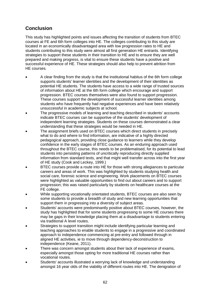## <span id="page-64-0"></span>**Conclusion**

This study has highlighted points and issues affecting the transition of students from BTEC courses at FE and 6th form colleges into HE. The colleges contributing to this study are located in an economically disadvantaged area with low progression rates to HE and students contributing to this study were almost all first generation HE entrants. Identifying strategies to support these students in their transition to HE and to ensure they are well prepared and making progress, is vital to ensure these students have a positive and successful experience of HE. These strategies should also help to prevent attrition from HE courses.

- A clear finding from the study is that the institutional habitus of the 6th form college supports students' learner identities and the development of their identities as potential HE students. The students have access to a wide range of trusted sources of information about HE at the 6th form college which encourage and support progression. BTEC courses themselves were also found to support progression. These courses support the development of successful learner identities among students who have frequently had negative experiences and have been relatively unsuccessful in academic subjects at school.
- The progressive models of learning and teaching described in students' accounts indicate BTEC courses can be supportive of the students' development of independent learning strategies. Students on these courses demonstrated a clear understanding that these strategies would be needed in HE.
- The assignment briefs used on BTEC courses which direct students in precisely what to do and where to find information, are indicative of a highly directed pedagogical approach, providing close guidance to learners while they develop confidence in the early stages of BTEC courses. As an enduring approach used throughout the BTEC course, this needs to be problematised, for its potential to lead students into persisting patterns of uncritically reproducing directly supplied information from standard texts, and that might well transfer across into the first year of HE study (Cook and Leckey, 1999.)
- BTEC courses provide a route into HE for those with strong allegiances to particular careers and areas of work. This was highlighted by students studying health and social care, forensic science and engineering. Work placements on BTEC courses were highlighted as valuable opportunities to find out about careers and to support progression; this was raised particularly by students on healthcare courses at the FE college.
- While supporting vocationally orientated students, BTEC courses are also seen by some students to provide a breadth of study and new learning opportunities that support them in progressing into a diversity of subject areas.
- Students' accounts were predominantly positive about BTEC courses, however, the study has highlighted that for some students progressing to some HE courses there may be gaps in their knowledge placing them at a disadvantage to students entering via traditional A level routes.
- Strategies to support transition might include identifying particular learning and teaching approaches to enable students to engage in a progressive and coordinated approach to independence commencing at pre-entry and followed through in aligned HE activities, ie to move through dependency-deconstruction to independence (Keane, 2011).
- There was concern amongst students about their lack of experience of exams, especially amongst those opting for more traditional HE courses rather than vocational routes.
- Students' accounts illustrated a worrying lack of knowledge and understanding amongst 16 year olds of the viability of different routes into HE. The denigration of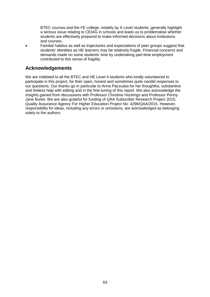BTEC courses and the FE college, notably by A Level students, generally highlight a serious issue relating to CEIAG in schools and leads us to problematise whether students are effectively prepared to make informed decisions about institutions and courses.

 Familial habitus as well as trajectories and expectations of peer groups suggest that students' identities as HE learners may be relatively fragile. Financial concerns and demands made on some students' time by undertaking part-time employment contributed to this sense of fragility.

## <span id="page-65-0"></span>**Acknowledgements**

We are indebted to all the BTEC and HE Level 4 students who kindly volunteered to participate in this project, for their open, honest and sometimes quite candid responses to our questions. Our thanks go in particular to Anna Paczuska for her thoughtful, substantive and tireless help with editing and in the fine-tuning of this report. We also acknowledge the insights gained from discussions with Professor Christine Hockings and Professor Penny Jane Burke. We are also grateful for funding of QAA Subscriber Research Project 2015, Quality Assurance Agency For Higher Education Project No: 4296/QAA/2015. However, responsibility for ideas, including any errors or omissions, are acknowledged as belonging solely to the authors.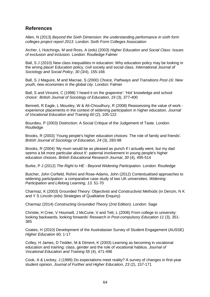## <span id="page-66-0"></span>**References**

Allen, N (2013) *Beyond the Sixth Dimension: the understanding performance in sixth form colleges project report 2013*. London: Sixth Form Colleges Association

Archer, L Hutchings, M and Ross, A (eds) (2003) *Higher Education and Social Class: Issues of exclusion and inclusion.* London: Routledge Falmer

Ball, S J (2010) New class inequalities in education: Why education policy may be looking in the wrong place! Education policy, civil society and social class. *International Journal of Sociology and Social Policy*, *30* (3/4), 155-166

Ball, S J Maguire, M and Macrae, S (2000) *Choice, Pathways and Transitions Post-16: New youth, new economies in the global city*. London: Falmer

Ball, S and Vincent, C (1998) 'I heard it on the grapevine': 'Hot' knowledge and school choice'. *British Journal of Sociology of Education*, *19* (3), 377-400

Bennett, R Eagle, L Mousley, W & Ali-Choudhury, R (2008) Reassessing the value of work experience placements in the context of widening participation in higher education. *Journal of Vocational Education and Training 60* (2), 105-122

Bourdieu, P (2003) Distinction: A Social Critique of the Judgement of Taste. London: Routledge

Brooks, R (2003) 'Young people's higher education choices: The role of family and friends'. *British Journal of Sociology of Education, 24* (3), 283-98

Brooks, R (2004) 'My mum would be as pleased as punch if I actually went, but my dad seems a bit more particular about it': paternal involvement in young people's higher education choices. *British Educational Research Journal*, *30* (4), 495-514

Burke, P J (2012) *The Right to HE - Beyond Widening Participation*. London: Routledge

Butcher, John Corfield, Rohini and Rose-Adams, John (2012) Contextualised approaches to widening participation: a comparative case study of two UK universities. *Widening Participation and Lifelong Learning, 13.* 51-70

Charmaz, K (2003) Grounded Theory: Objectivist and Constructivist Methods (in Denzin, N K and Y S Lincoln (eds) Strategies of Qualitative Enquiry)

Charmaz (2014) *Constructing Grounded Theory* (2nd Edition). London: Sage

Christie, H Cree, V Hounsell, J McCune, V and Tett, L (2006) From college to university: looking backwards, looking forwards' *Research in Post-compulsory Education 11* (3), 351- 365

Coates, H (2010) Development of the Australasian Survey of Student Engagement (AUSSE) *Higher Education 60,* 1-17

Colley, H James, D Tedder, M & Diment, K (2003) Learning as becoming in vocational education and training: class, gender and the role of vocational habitus. *Journal of Vocational Education and Training 55* (4), 471-496

Cook, A & Leckey, J (1999) Do expectations meet reality? A survey of changes in first-year student opinion. *Journal of Further and Higher Education, 23* (2), 157-171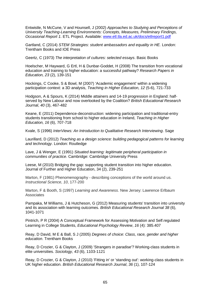Entwistle, N McCune, V and Hounsell, J (2002) *Approaches to Studying and Perceptions of University Teaching-Learning Environments: Concepts, Measures, Preliminary Findings, Occasional Report 1*. ETL Project. Available: [www.etl.tla.ed.ac.uk/docs/etlreport1.pdf](http://www.etl.tla.ed.ac.uk/docs/etlreport1.pdf)

Gartland, C (2014) *STEM Strategies: student ambassadors and equality in HE.* London: Trentham Books and IOE Press

Geertz, C (1973) *The interpretation of cultures: selected essays*. Basic Books

Hoelscher, M Hayward, G Ertl, H & Dunbar‐Goddet, H (2008) The transition from vocational education and training to higher education: a successful pathway? *Research Papers in Education, 23* (2), 139-151

Hockings, C Cooke, S & Bowl, M (2007) 'Academic engagement' within a widening participation context: a 3D analysis, *Teaching in Higher Education, 12* (5-6), 721-733

Hodgson, A & Spours, K (2014) Middle attainers and 14-19 progression in England: half‐ served by New Labour and now overlooked by the Coalition? *British Educational Research Journal*, *40* (3), 467-482

Keane, E (2011) Dependence-deconstruction: widening participation and traditional-entry students transitioning from school to higher education in Ireland, *Teaching in Higher Education, 16* (6), 707-718

Kvale, S (1996) *InterViews: An Introduction to Qualitative Research Interviewing*. Sage

Laurillard, D (2012) *Teaching as a design science: building pedagogical patterns for learning and technology*. London: Routledge

Lave, J & Wenger, E (1991) *Situated learning: legitimate peripheral participation in communities of practice*. Cambridge: Cambridge University Press

Leese, M (2010) Bridging the gap: supporting student transition into higher education. Journal of Further and Higher Education, 34 (2), 239-251

Marton, F (1981) Phenomenography - describing conceptions of the world around us. *Instructional Science*, *10*, 177-200

Marton, F & Booth, S (1997) *Learning and Awareness*. New Jersey: Lawrence Erlbaum **Associates** 

Pampaka, M Williams, J & Hutcheson, G (2012) Measuring students' transition into university and its association with learning outcomes. *British Educational Research Journal 38* (6), 1041-1071

Pintrich, P R (2004) A Conceptual Framework for Assessing Motivation and Self regulated Learning in College Students, *Educational Psychology Review*, *16* (4): 385 407

Reay, D David, M E & Ball, S J (2005) *Degrees of choice: Class, race, gender and higher education*. Trentham Books

Reay, D Crozier, G & Clayton, J (2009) 'Strangers in paradise'? Working-class students in elite universities. *Sociology, 43* (6), 1103-1121

Reay, D Crozier, G & Clayton, J (2010) 'Fitting in' or 'standing out': working‐class students in UK higher education. *British Educational Research Journal*, *36* (1), 107-124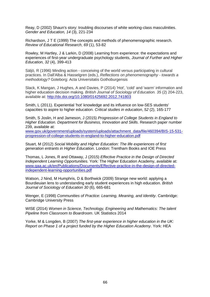Reay, D (2002) Shaun's story: troubling discourses of white working-class masculinities. *Gender and Education, 14* (3), 221-234

Richardson, J T E (1999) The concepts and methods of phenomenographic research. *Review of Educational Research*, *69* (1), 53-82

Rowley, M Hartley, J & Larkin, D (2008) Learning from experience: the expectations and experiences of first-year undergraduate psychology students, *Journal of Further and Higher Education, 32* (4), 399-413

Säljö, R (1996) Minding action - conceiving of the world versus participating in cultural practices. In Dall'Alba & Hasselgren (eds.), *Reflections on phenomenography - towards a methodology?* Goteborg: Acta Universitatis Gothoburgensis

Slack, K Mangan, J Hughes, A and Davies, P (2014) 'Hot', 'cold' and 'warm' information and higher education decision making. *British Journal of Sociology of Education. 35* (2) 204-223, available at: <http://dx.doi.org/10.1080/01425692.2012.741803>

Smith, L (2011). Experiential 'hot' knowledge and its influence on low-SES students' capacities to aspire to higher education. *Critical studies in education*, *52* (2), 165-177

Smith, S Joslin, H and Jameson, J (2015) *Progression of College Students in England to Higher Education. Department for Business, Innovation and Skills*. Research paper number 239, available at:

[www.gov.uk/government/uploads/system/uploads/attachment\\_data/file/460394/BIS-15-531](http://www.gov.uk/government/uploads/system/uploads/attachment_data/file/460394/BIS-15-531-progression-of-college-students-in-england-to-higher-education.pdf) [progression-of-college-students-in-england-to-higher-education.pdf](http://www.gov.uk/government/uploads/system/uploads/attachment_data/file/460394/BIS-15-531-progression-of-college-students-in-england-to-higher-education.pdf)

Stuart, M (2012) *Social Mobility and Higher Education: The life experiences of first generation entrants in Higher Education*. London: Trentham Books and IOE Press

Thomas, L Jones, R and Ottaway, J (2015) *Effective Practice in the Design of Directed Independent Learning Opportunities.* York: The Higher Education Academy, available at: [www.qaa.ac.uk/en/Publications/Documents/Effective-practice-in-the-design-of-directed](http://www.qaa.ac.uk/en/Publications/Documents/Effective-practice-in-the-design-of-directed-independent-learning-opportunities.pdf)[independent-learning-opportunities.pdf](http://www.qaa.ac.uk/en/Publications/Documents/Effective-practice-in-the-design-of-directed-independent-learning-opportunities.pdf)

Watson, J Nind, M Humphris, D & Borthwick (2009) Strange new world: applying a Bourdieuian lens to understanding early student experiences in high education. *British Journal of Sociology of Education 30* (6), 665-681

Wenger, E (1998) *Communities of Practice: Learning, Meaning, and Identity*. Cambridge: Cambridge University Press

WISE (2014) *Women in Science, Technology, Engineering and Mathematics: The talent Pipeline from Classroom to Boardroom*. UK Statistics 2014

Yorke, M & Longden, B (2007) *The first-year experience in higher education in the UK: Report on Phase 1 of a project funded by the Higher Education Academy*. York: HEA